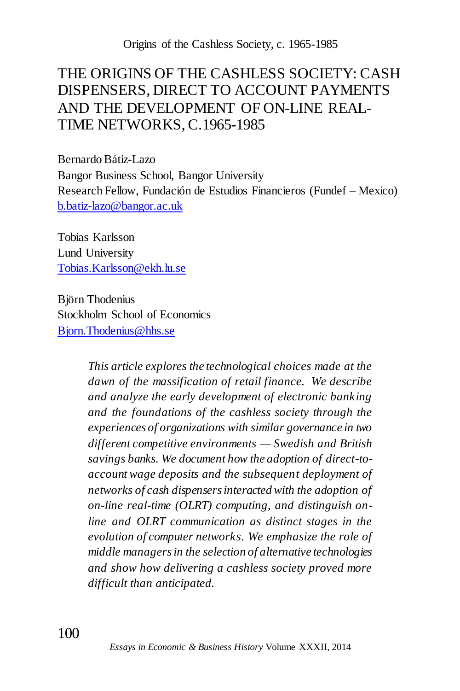# THE ORIGINS OF THE CASHLESS SOCIETY: CASH DISPENSERS, DIRECT TO ACCOUNT PAYMENTS AND THE DEVELOPMENT OF ON-LINE REAL-TIME NETWORKS, C.1965-1985

Bernardo Bátiz-Lazo Bangor Business School, Bangor University Research Fellow, Fundación de Estudios Financieros (Fundef – Mexico) [b.batiz-lazo@bangor.ac.uk](mailto:b.batiz-lazo@bangor.ac.uk)

Tobias Karlsson Lund University [Tobias.Karlsson@ekh.lu.se](mailto:Tobias.Karlsson@ekh.lu.se)

Björn Thodenius Stockholm School of Economics [Bjorn.Thodenius@hhs.se](mailto:Bjorn.Thodenius@hhs.se)

> *This article explores the technological choices made at the dawn of the massification of retail finance. We describe and analyze the early development of electronic banking and the foundations of the cashless society through the experiences of organizations with similar governance in two different competitive environments — Swedish and British savings banks. We document how the adoption of direct-toaccount wage deposits and the subsequent deployment of networks of cash dispensers interacted with the adoption of on-line real-time (OLRT) computing, and distinguish online and OLRT communication as distinct stages in the evolution of computer networks. We emphasize the role of middle managers in the selection of alternative technologies and show how delivering a cashless society proved more difficult than anticipated.*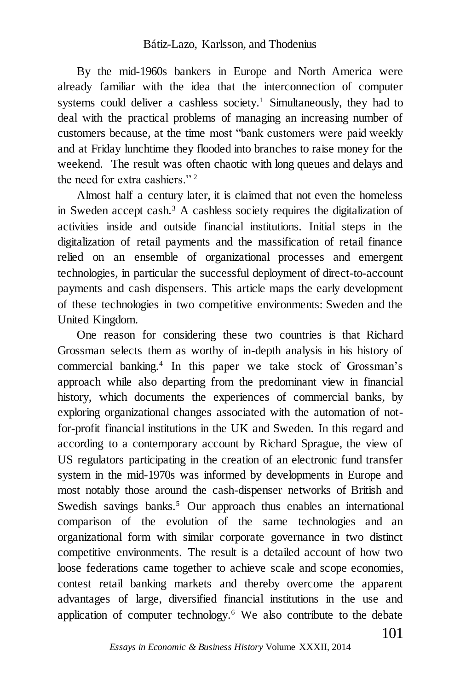By the mid-1960s bankers in Europe and North America were already familiar with the idea that the interconnection of computer systems could deliver a cashless society.<sup>1</sup> Simultaneously, they had to deal with the practical problems of managing an increasing number of customers because, at the time most "bank customers were paid weekly and at Friday lunchtime they flooded into branches to raise money for the weekend. The result was often chaotic with long queues and delays and the need for extra cashiers." <sup>2</sup>

Almost half a century later, it is claimed that not even the homeless in Sweden accept cash.<sup>3</sup> A cashless society requires the digitalization of activities inside and outside financial institutions. Initial steps in the digitalization of retail payments and the massification of retail finance relied on an ensemble of organizational processes and emergent technologies, in particular the successful deployment of direct-to-account payments and cash dispensers. This article maps the early development of these technologies in two competitive environments: Sweden and the United Kingdom.

One reason for considering these two countries is that Richard Grossman selects them as worthy of in-depth analysis in his history of commercial banking.<sup>4</sup> In this paper we take stock of Grossman's approach while also departing from the predominant view in financial history, which documents the experiences of commercial banks, by exploring organizational changes associated with the automation of notfor-profit financial institutions in the UK and Sweden. In this regard and according to a contemporary account by Richard Sprague, the view of US regulators participating in the creation of an electronic fund transfer system in the mid-1970s was informed by developments in Europe and most notably those around the cash-dispenser networks of British and Swedish savings banks.<sup>5</sup> Our approach thus enables an international comparison of the evolution of the same technologies and an organizational form with similar corporate governance in two distinct competitive environments. The result is a detailed account of how two loose federations came together to achieve scale and scope economies, contest retail banking markets and thereby overcome the apparent advantages of large, diversified financial institutions in the use and application of computer technology.<sup>6</sup> We also contribute to the debate

*Essays in Economic & Business History* Volume XXXII, 2014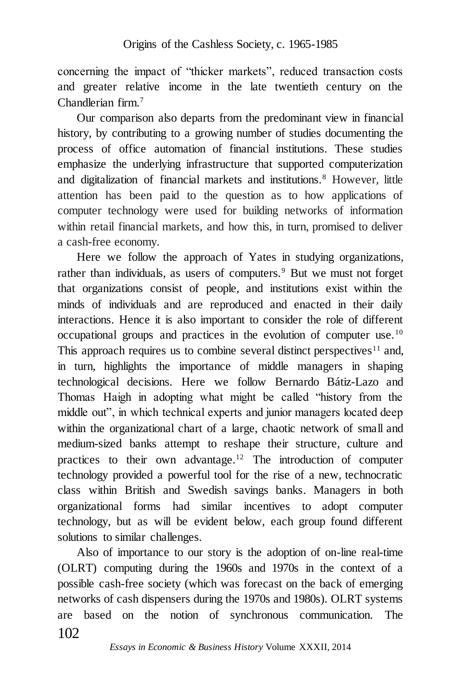concerning the impact of "thicker markets", reduced transaction costs and greater relative income in the late twentieth century on the Chandlerian firm.<sup>7</sup>

Our comparison also departs from the predominant view in financial history, by contributing to a growing number of studies documenting the process of office automation of financial institutions. These studies emphasize the underlying infrastructure that supported computerization and digitalization of financial markets and institutions.<sup>8</sup> However, little attention has been paid to the question as to how applications of computer technology were used for building networks of information within retail financial markets, and how this, in turn, promised to deliver a cash-free economy.

Here we follow the approach of Yates in studying organizations, rather than individuals, as users of computers.<sup>9</sup> But we must not forget that organizations consist of people, and institutions exist within the minds of individuals and are reproduced and enacted in their daily interactions. Hence it is also important to consider the role of different occupational groups and practices in the evolution of computer use.<sup>10</sup> This approach requires us to combine several distinct perspectives<sup>11</sup> and, in turn, highlights the importance of middle managers in shaping technological decisions. Here we follow Bernardo Bátiz-Lazo and Thomas Haigh in adopting what might be called "history from the middle out", in which technical experts and junior managers located deep within the organizational chart of a large, chaotic network of small and medium-sized banks attempt to reshape their structure, culture and practices to their own advantage.<sup>12</sup> The introduction of computer technology provided a powerful tool for the rise of a new, technocratic class within British and Swedish savings banks. Managers in both organizational forms had similar incentives to adopt computer technology, but as will be evident below, each group found different solutions to similar challenges.

102 Also of importance to our story is the adoption of on-line real-time (OLRT) computing during the 1960s and 1970s in the context of a possible cash-free society (which was forecast on the back of emerging networks of cash dispensers during the 1970s and 1980s). OLRT systems are based on the notion of synchronous communication. The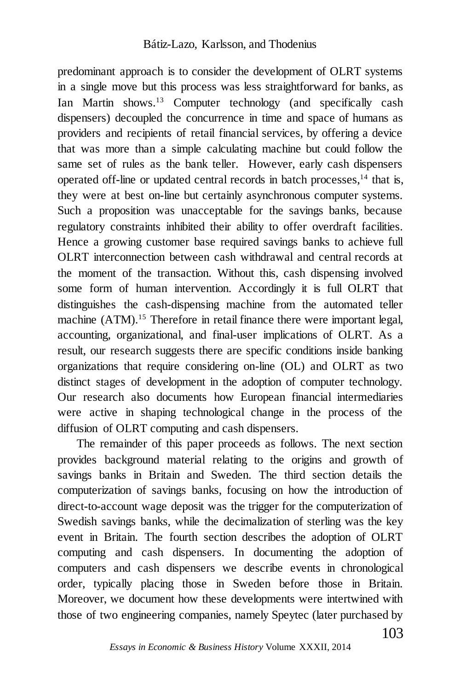predominant approach is to consider the development of OLRT systems in a single move but this process was less straightforward for banks, as Ian Martin shows.<sup>13</sup> Computer technology (and specifically cash dispensers) decoupled the concurrence in time and space of humans as providers and recipients of retail financial services, by offering a device that was more than a simple calculating machine but could follow the same set of rules as the bank teller. However, early cash dispensers operated off-line or updated central records in batch processes,<sup>14</sup> that is, they were at best on-line but certainly asynchronous computer systems. Such a proposition was unacceptable for the savings banks, because regulatory constraints inhibited their ability to offer overdraft facilities. Hence a growing customer base required savings banks to achieve full OLRT interconnection between cash withdrawal and central records at the moment of the transaction. Without this, cash dispensing involved some form of human intervention. Accordingly it is full OLRT that distinguishes the cash-dispensing machine from the automated teller machine (ATM).<sup>15</sup> Therefore in retail finance there were important legal, accounting, organizational, and final-user implications of OLRT. As a result, our research suggests there are specific conditions inside banking organizations that require considering on-line (OL) and OLRT as two distinct stages of development in the adoption of computer technology. Our research also documents how European financial intermediaries were active in shaping technological change in the process of the diffusion of OLRT computing and cash dispensers.

The remainder of this paper proceeds as follows. The next section provides background material relating to the origins and growth of savings banks in Britain and Sweden. The third section details the computerization of savings banks, focusing on how the introduction of direct-to-account wage deposit was the trigger for the computerization of Swedish savings banks, while the decimalization of sterling was the key event in Britain. The fourth section describes the adoption of OLRT computing and cash dispensers. In documenting the adoption of computers and cash dispensers we describe events in chronological order, typically placing those in Sweden before those in Britain. Moreover, we document how these developments were intertwined with those of two engineering companies, namely Speytec (later purchased by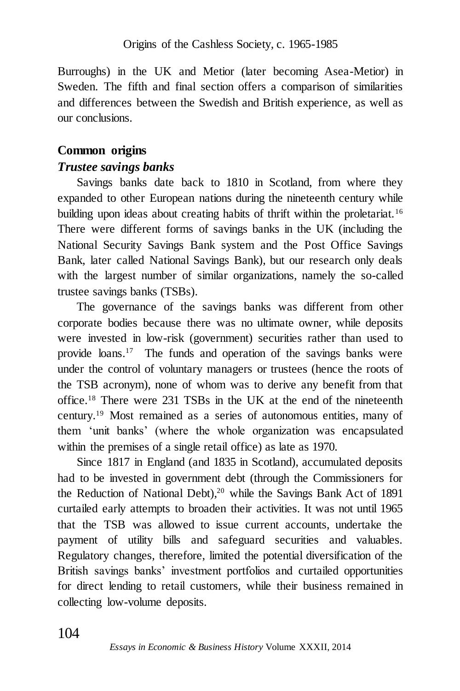Burroughs) in the UK and Metior (later becoming Asea-Metior) in Sweden. The fifth and final section offers a comparison of similarities and differences between the Swedish and British experience, as well as our conclusions.

# **Common origins**

## *Trustee savings banks*

Savings banks date back to 1810 in Scotland, from where they expanded to other European nations during the nineteenth century while building upon ideas about creating habits of thrift within the proletariat.<sup>16</sup> There were different forms of savings banks in the UK (including the National Security Savings Bank system and the Post Office Savings Bank, later called National Savings Bank), but our research only deals with the largest number of similar organizations, namely the so-called trustee savings banks (TSBs).

The governance of the savings banks was different from other corporate bodies because there was no ultimate owner, while deposits were invested in low-risk (government) securities rather than used to provide loans. 17 The funds and operation of the savings banks were under the control of voluntary managers or trustees (hence the roots of the TSB acronym), none of whom was to derive any benefit from that office.<sup>18</sup> There were 231 TSBs in the UK at the end of the nineteenth century.<sup>19</sup> Most remained as a series of autonomous entities, many of them 'unit banks' (where the whole organization was encapsulated within the premises of a single retail office) as late as 1970.

Since 1817 in England (and 1835 in Scotland), accumulated deposits had to be invested in government debt (through the Commissioners for the Reduction of National Debt),<sup>20</sup> while the Savings Bank Act of 1891 curtailed early attempts to broaden their activities. It was not until 1965 that the TSB was allowed to issue current accounts, undertake the payment of utility bills and safeguard securities and valuables. Regulatory changes, therefore, limited the potential diversification of the British savings banks' investment portfolios and curtailed opportunities for direct lending to retail customers, while their business remained in collecting low-volume deposits.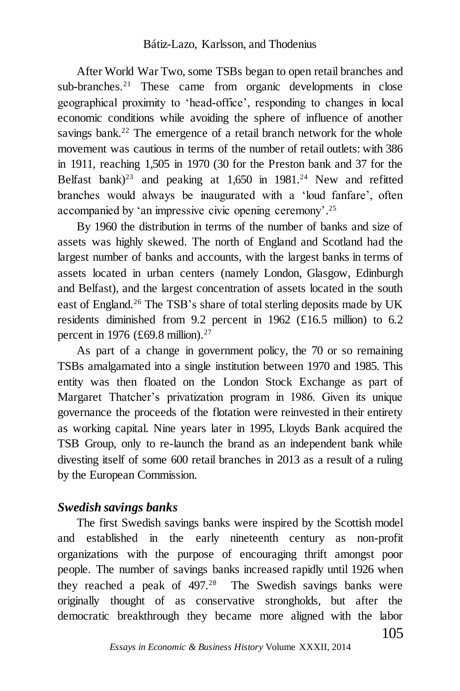After World War Two, some TSBs began to open retail branches and sub-branches.<sup>21</sup> These came from organic developments in close geographical proximity to 'head-office', responding to changes in local economic conditions while avoiding the sphere of influence of another savings bank.<sup>22</sup> The emergence of a retail branch network for the whole movement was cautious in terms of the number of retail outlets: with 386 in 1911, reaching 1,505 in 1970 (30 for the Preston bank and 37 for the Belfast bank)<sup>23</sup> and peaking at  $1,650$  in  $1981<sup>24</sup>$  New and refitted branches would always be inaugurated with a 'loud fanfare', often accompanied by 'an impressive civic opening ceremony'. 25

By 1960 the distribution in terms of the number of banks and size of assets was highly skewed. The north of England and Scotland had the largest number of banks and accounts, with the largest banks in terms of assets located in urban centers (namely London, Glasgow, Edinburgh and Belfast), and the largest concentration of assets located in the south east of England.<sup>26</sup> The TSB's share of total sterling deposits made by UK residents diminished from 9.2 percent in 1962 (£16.5 million) to 6.2 percent in 1976 (£69.8 million).<sup>27</sup>

As part of a change in government policy, the 70 or so remaining TSBs amalgamated into a single institution between 1970 and 1985. This entity was then floated on the London Stock Exchange as part of Margaret Thatcher's privatization program in 1986. Given its unique governance the proceeds of the flotation were reinvested in their entirety as working capital. Nine years later in 1995, Lloyds Bank acquired the TSB Group, only to re-launch the brand as an independent bank while divesting itself of some 600 retail branches in 2013 as a result of a ruling by the European Commission.

### *Swedish savings banks*

The first Swedish savings banks were inspired by the Scottish model and established in the early nineteenth century as non-profit organizations with the purpose of encouraging thrift amongst poor people. The number of savings banks increased rapidly until 1926 when they reached a peak of 497.<sup>28</sup> The Swedish savings banks were originally thought of as conservative strongholds, but after the democratic breakthrough they became more aligned with the labor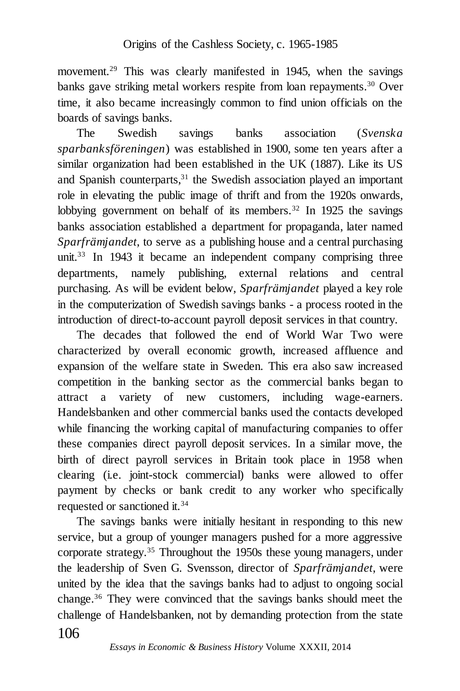movement.<sup>29</sup> This was clearly manifested in 1945, when the savings banks gave striking metal workers respite from loan repayments. <sup>30</sup> Over time, it also became increasingly common to find union officials on the boards of savings banks.

The Swedish savings banks association (*Svenska sparbanksföreningen*) was established in 1900, some ten years after a similar organization had been established in the UK (1887). Like its US and Spanish counterparts,<sup>31</sup> the Swedish association played an important role in elevating the public image of thrift and from the 1920s onwards, lobbying government on behalf of its members.<sup>32</sup> In 1925 the savings banks association established a department for propaganda, later named *Sparfrämjandet*, to serve as a publishing house and a central purchasing unit.<sup>33</sup> In 1943 it became an independent company comprising three departments, namely publishing, external relations and central purchasing. As will be evident below, *Sparfrämjandet* played a key role in the computerization of Swedish savings banks - a process rooted in the introduction of direct-to-account payroll deposit services in that country.

The decades that followed the end of World War Two were characterized by overall economic growth, increased affluence and expansion of the welfare state in Sweden. This era also saw increased competition in the banking sector as the commercial banks began to attract a variety of new customers, including wage-earners. Handelsbanken and other commercial banks used the contacts developed while financing the working capital of manufacturing companies to offer these companies direct payroll deposit services. In a similar move, the birth of direct payroll services in Britain took place in 1958 when clearing (i.e. joint-stock commercial) banks were allowed to offer payment by checks or bank credit to any worker who specifically requested or sanctioned it.<sup>34</sup>

106 The savings banks were initially hesitant in responding to this new service, but a group of younger managers pushed for a more aggressive corporate strategy.<sup>35</sup> Throughout the 1950s these young managers, under the leadership of Sven G. Svensson, director of *Sparfrämjandet*, were united by the idea that the savings banks had to adjust to ongoing social change.<sup>36</sup> They were convinced that the savings banks should meet the challenge of Handelsbanken, not by demanding protection from the state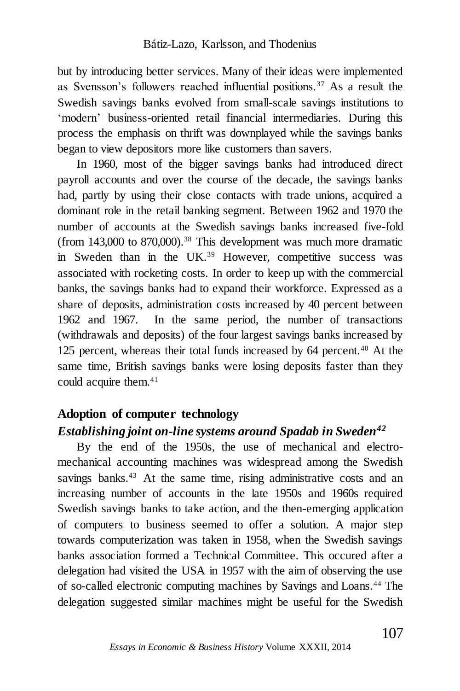but by introducing better services. Many of their ideas were implemented as Svensson's followers reached influential positions.<sup>37</sup> As a result the Swedish savings banks evolved from small-scale savings institutions to 'modern' business-oriented retail financial intermediaries. During this process the emphasis on thrift was downplayed while the savings banks began to view depositors more like customers than savers.

In 1960, most of the bigger savings banks had introduced direct payroll accounts and over the course of the decade, the savings banks had, partly by using their close contacts with trade unions, acquired a dominant role in the retail banking segment. Between 1962 and 1970 the number of accounts at the Swedish savings banks increased five-fold (from  $143,000$  to  $870,000$ ).<sup>38</sup> This development was much more dramatic in Sweden than in the UK.<sup>39</sup> However, competitive success was associated with rocketing costs. In order to keep up with the commercial banks, the savings banks had to expand their workforce. Expressed as a share of deposits, administration costs increased by 40 percent between 1962 and 1967. In the same period, the number of transactions (withdrawals and deposits) of the four largest savings banks increased by 125 percent, whereas their total funds increased by 64 percent.<sup>40</sup> At the same time, British savings banks were losing deposits faster than they could acquire them.<sup>41</sup>

# **Adoption of computer technology**

## *Establishing joint on-line systems around Spadab in Sweden<sup>42</sup>*

By the end of the 1950s, the use of mechanical and electromechanical accounting machines was widespread among the Swedish savings banks.<sup>43</sup> At the same time, rising administrative costs and an increasing number of accounts in the late 1950s and 1960s required Swedish savings banks to take action, and the then-emerging application of computers to business seemed to offer a solution. A major step towards computerization was taken in 1958, when the Swedish savings banks association formed a Technical Committee. This occured after a delegation had visited the USA in 1957 with the aim of observing the use of so-called electronic computing machines by Savings and Loans.<sup>44</sup> The delegation suggested similar machines might be useful for the Swedish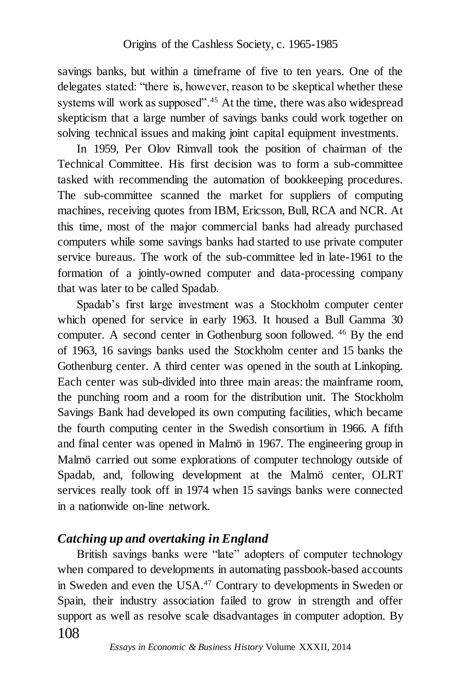savings banks, but within a timeframe of five to ten years. One of the delegates stated: "there is, however, reason to be skeptical whether these systems will work as supposed".<sup>45</sup> At the time, there was also widespread skepticism that a large number of savings banks could work together on solving technical issues and making joint capital equipment investments.

In 1959, Per Olov Rimvall took the position of chairman of the Technical Committee. His first decision was to form a sub-committee tasked with recommending the automation of bookkeeping procedures. The sub-committee scanned the market for suppliers of computing machines, receiving quotes from IBM, Ericsson, Bull, RCA and NCR. At this time, most of the major commercial banks had already purchased computers while some savings banks had started to use private computer service bureaus. The work of the sub-committee led in late-1961 to the formation of a jointly-owned computer and data-processing company that was later to be called Spadab.

Spadab's first large investment was a Stockholm computer center which opened for service in early 1963. It housed a Bull Gamma 30 computer. A second center in Gothenburg soon followed. <sup>46</sup> By the end of 1963, 16 savings banks used the Stockholm center and 15 banks the Gothenburg center. A third center was opened in the south at Linkoping. Each center was sub-divided into three main areas: the mainframe room, the punching room and a room for the distribution unit. The Stockholm Savings Bank had developed its own computing facilities, which became the fourth computing center in the Swedish consortium in 1966. A fifth and final center was opened in Malmö in 1967. The engineering group in Malmö carried out some explorations of computer technology outside of Spadab, and, following development at the Malmö center, OLRT services really took off in 1974 when 15 savings banks were connected in a nationwide on-line network.

### *Catching up and overtaking in England*

108 British savings banks were "late" adopters of computer technology when compared to developments in automating passbook-based accounts in Sweden and even the USA.<sup>47</sup> Contrary to developments in Sweden or Spain, their industry association failed to grow in strength and offer support as well as resolve scale disadvantages in computer adoption. By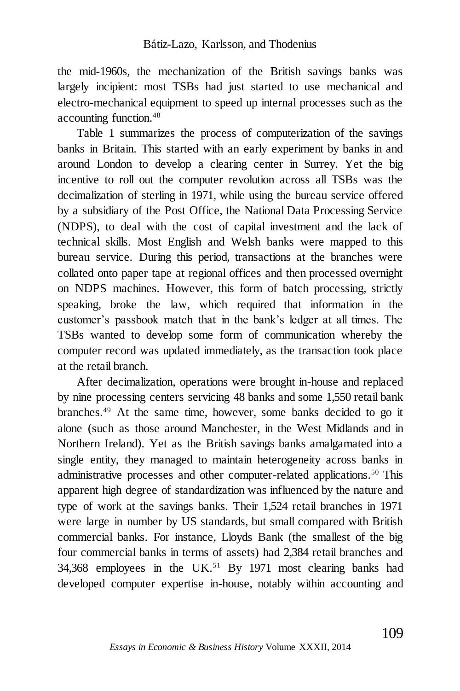the mid-1960s, the mechanization of the British savings banks was largely incipient: most TSBs had just started to use mechanical and electro-mechanical equipment to speed up internal processes such as the accounting function.<sup>48</sup>

Table 1 summarizes the process of computerization of the savings banks in Britain. This started with an early experiment by banks in and around London to develop a clearing center in Surrey. Yet the big incentive to roll out the computer revolution across all TSBs was the decimalization of sterling in 1971, while using the bureau service offered by a subsidiary of the Post Office, the National Data Processing Service (NDPS), to deal with the cost of capital investment and the lack of technical skills. Most English and Welsh banks were mapped to this bureau service. During this period, transactions at the branches were collated onto paper tape at regional offices and then processed overnight on NDPS machines. However, this form of batch processing, strictly speaking, broke the law, which required that information in the customer's passbook match that in the bank's ledger at all times. The TSBs wanted to develop some form of communication whereby the computer record was updated immediately, as the transaction took place at the retail branch.

After decimalization, operations were brought in-house and replaced by nine processing centers servicing 48 banks and some 1,550 retail bank branches.<sup>49</sup> At the same time, however, some banks decided to go it alone (such as those around Manchester, in the West Midlands and in Northern Ireland). Yet as the British savings banks amalgamated into a single entity, they managed to maintain heterogeneity across banks in administrative processes and other computer-related applications.<sup>50</sup> This apparent high degree of standardization was influenced by the nature and type of work at the savings banks. Their 1,524 retail branches in 1971 were large in number by US standards, but small compared with British commercial banks. For instance, Lloyds Bank (the smallest of the big four commercial banks in terms of assets) had 2,384 retail branches and 34,368 employees in the UK.<sup>51</sup> By 1971 most clearing banks had developed computer expertise in-house, notably within accounting and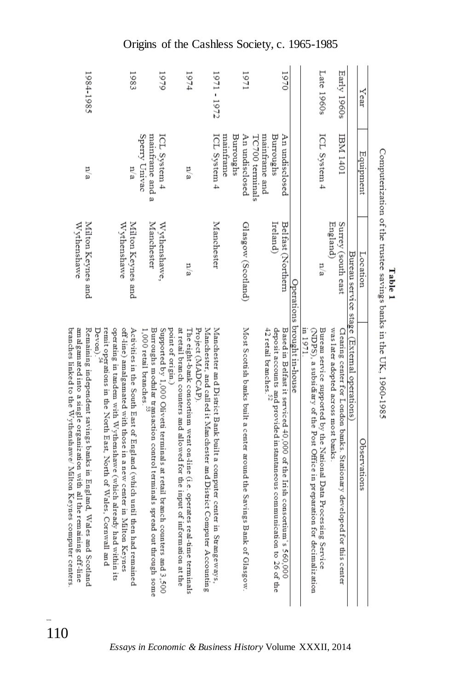| 1984-1985                                                                                                                                                                                                          | 1983                                                                                                                                                                                                                                                                                            | 1979                                                                                                                                                                                                 | 1974                                                                                                                                                                                                                                                 | 1971 - 1972                                                          | 17971                                                                 | 1970                                                                                                                                                                                                                | Late 1960s                                                                                                                                             | Early 1960s                                                                                                   |                                            | Year         |
|--------------------------------------------------------------------------------------------------------------------------------------------------------------------------------------------------------------------|-------------------------------------------------------------------------------------------------------------------------------------------------------------------------------------------------------------------------------------------------------------------------------------------------|------------------------------------------------------------------------------------------------------------------------------------------------------------------------------------------------------|------------------------------------------------------------------------------------------------------------------------------------------------------------------------------------------------------------------------------------------------------|----------------------------------------------------------------------|-----------------------------------------------------------------------|---------------------------------------------------------------------------------------------------------------------------------------------------------------------------------------------------------------------|--------------------------------------------------------------------------------------------------------------------------------------------------------|---------------------------------------------------------------------------------------------------------------|--------------------------------------------|--------------|
| n/a                                                                                                                                                                                                                | n a                                                                                                                                                                                                                                                                                             | Sperry Univac<br>mantrame and a<br>ICL System 4                                                                                                                                                      | n/a                                                                                                                                                                                                                                                  | ICL System 4<br>Burroughs<br>manhrame                                | An undisclosed<br>mainframe and<br>TC700 terminals                    | Burroughs<br>An undisclosed                                                                                                                                                                                         | ICL System 4                                                                                                                                           | I0t1 IVEI                                                                                                     |                                            | Equipment    |
| Wythenshawe<br>Milton Keynes and                                                                                                                                                                                   | Milton Keynes and<br>Wythenshawe                                                                                                                                                                                                                                                                | <b>Manchester</b><br>Wythenshawe,                                                                                                                                                                    | n/a                                                                                                                                                                                                                                                  | Manchester                                                           | Glasgow (Scotland)                                                    | Ireland)<br>Belfast (Northern                                                                                                                                                                                       | n/a                                                                                                                                                    | Surrey (south east<br>England)                                                                                |                                            | Location     |
| Remaining independent savings banks in England, Wales and Scotland<br>branches linked to the Wythenshawe/ Milton Keynes computer centers<br>amalgamated into a single organization with all the remaining off-line | remit operations in the North East, North of Wales, Cornwall and<br>operating in tandem with Wythenshawe (which already had within its<br>off-line) amalgamated with those in a new center in Milton Keynes<br>Activities in the South East of England (which until then had remained<br>Devon) | Burroughs modular transaction control terminals spread out through some<br>Supported by 1,000 Olivetti terminals at retail branch counters and 3,500<br>point of origin.)<br>1,000 retail branches." | at retail branch counters and allowed for the input of information at the<br>Project (MADCAP).<br>The eight-bank consoctium went on-line (i.e. operates real-time terminals<br>Manchester, and called it Manchester and District Computer Accounting | Manchester and District Bank built a computer center in Strangeways, | Most Scottish banks built a center around the Savings Bank of Glasgow | Operations brought in-house<br>deposit accounts and provided instantaneous communication to 26 of the<br>42 retail branches. <sup>32</sup><br>Based in Belfast it serviced 40,000 of the Irish consortium's 560,000 | $\Delta$ DPS), a subsidiary of the Post Office in preparationalization<br>Bureau service supported by the National Data Processing Service<br>in 1971. | was later adopted across most banks<br>Clearing center for London banks. Stationary developed for this center | Bureau service stage (External operations) | Observations |

Computerization of the trustee savings banks in the UK, 1960-1985 Table 1

Origins of the Cashless Society, c. 1965-1985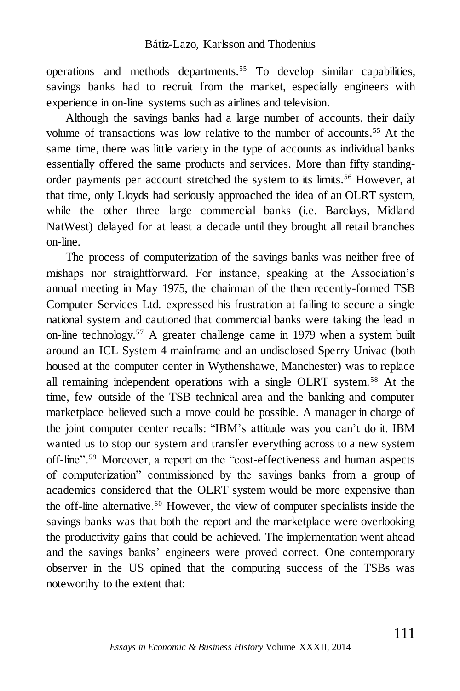operations and methods departments.<sup>55</sup> To develop similar capabilities, savings banks had to recruit from the market, especially engineers with experience in on-line systems such as airlines and television.

Although the savings banks had a large number of accounts, their daily volume of transactions was low relative to the number of accounts.<sup>55</sup> At the same time, there was little variety in the type of accounts as individual banks essentially offered the same products and services. More than fifty standingorder payments per account stretched the system to its limits.<sup>56</sup> However, at that time, only Lloyds had seriously approached the idea of an OLRT system, while the other three large commercial banks (i.e. Barclays, Midland NatWest) delayed for at least a decade until they brought all retail branches on-line.

The process of computerization of the savings banks was neither free of mishaps nor straightforward. For instance, speaking at the Association's annual meeting in May 1975, the chairman of the then recently-formed TSB Computer Services Ltd. expressed his frustration at failing to secure a single national system and cautioned that commercial banks were taking the lead in on-line technology.<sup>57</sup> A greater challenge came in 1979 when a system built around an ICL System 4 mainframe and an undisclosed Sperry Univac (both housed at the computer center in Wythenshawe, Manchester) was to replace all remaining independent operations with a single OLRT system.<sup>58</sup> At the time, few outside of the TSB technical area and the banking and computer marketplace believed such a move could be possible. A manager in charge of the joint computer center recalls: "IBM's attitude was you can't do it. IBM wanted us to stop our system and transfer everything across to a new system off-line". <sup>59</sup> Moreover, a report on the "cost-effectiveness and human aspects of computerization" commissioned by the savings banks from a group of academics considered that the OLRT system would be more expensive than the off-line alternative.<sup>60</sup> However, the view of computer specialists inside the savings banks was that both the report and the marketplace were overlooking the productivity gains that could be achieved. The implementation went ahead and the savings banks' engineers were proved correct. One contemporary observer in the US opined that the computing success of the TSBs was noteworthy to the extent that: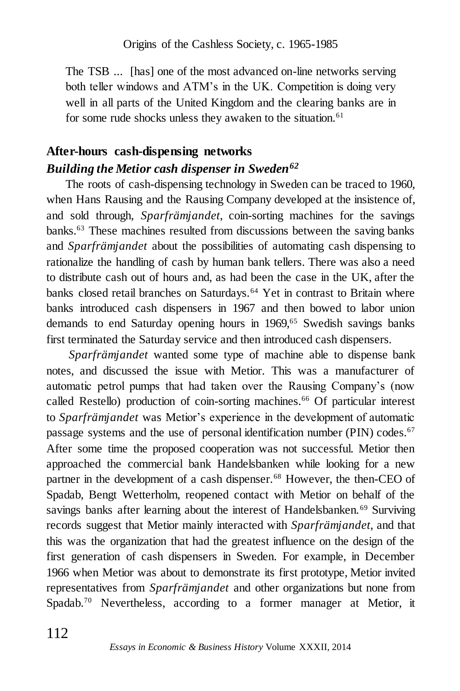The TSB ... [has] one of the most advanced on-line networks serving both teller windows and ATM's in the UK. Competition is doing very well in all parts of the United Kingdom and the clearing banks are in for some rude shocks unless they awaken to the situation.<sup>61</sup>

# **After-hours cash-dispensing networks** *Building the Metior cash dispenser in Sweden<sup>62</sup>*

The roots of cash-dispensing technology in Sweden can be traced to 1960, when Hans Rausing and the Rausing Company developed at the insistence of, and sold through, *Sparfrämjandet*, coin-sorting machines for the savings banks.<sup>63</sup> These machines resulted from discussions between the saving banks and *Sparfrämjandet* about the possibilities of automating cash dispensing to rationalize the handling of cash by human bank tellers. There was also a need to distribute cash out of hours and, as had been the case in the UK, after the banks closed retail branches on Saturdays.<sup>64</sup> Yet in contrast to Britain where banks introduced cash dispensers in 1967 and then bowed to labor union demands to end Saturday opening hours in 1969,<sup>65</sup> Swedish savings banks first terminated the Saturday service and then introduced cash dispensers.

*Sparfrämjandet* wanted some type of machine able to dispense bank notes, and discussed the issue with Metior. This was a manufacturer of automatic petrol pumps that had taken over the Rausing Company's (now called Restello) production of coin-sorting machines.<sup>66</sup> Of particular interest to *Sparfrämjandet* was Metior's experience in the development of automatic passage systems and the use of personal identification number (PIN) codes.<sup>67</sup> After some time the proposed cooperation was not successful. Metior then approached the commercial bank Handelsbanken while looking for a new partner in the development of a cash dispenser.<sup>68</sup> However, the then-CEO of Spadab, Bengt Wetterholm, reopened contact with Metior on behalf of the savings banks after learning about the interest of Handelsbanken.<sup>69</sup> Surviving records suggest that Metior mainly interacted with *Sparfrämjandet*, and that this was the organization that had the greatest influence on the design of the first generation of cash dispensers in Sweden. For example, in December 1966 when Metior was about to demonstrate its first prototype, Metior invited representatives from *Sparfrämjandet* and other organizations but none from Spadab.<sup>70</sup> Nevertheless, according to a former manager at Metior, it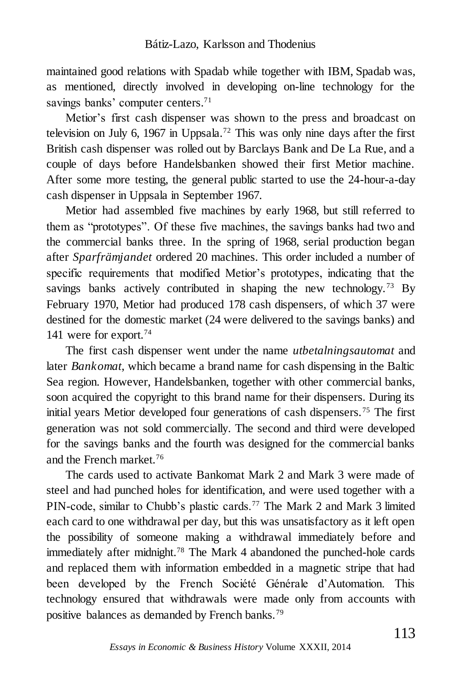maintained good relations with Spadab while together with IBM, Spadab was, as mentioned, directly involved in developing on-line technology for the savings banks' computer centers.<sup>71</sup>

Metior's first cash dispenser was shown to the press and broadcast on television on July 6, 1967 in Uppsala.<sup>72</sup> This was only nine days after the first British cash dispenser was rolled out by Barclays Bank and De La Rue, and a couple of days before Handelsbanken showed their first Metior machine. After some more testing, the general public started to use the 24-hour-a-day cash dispenser in Uppsala in September 1967.

Metior had assembled five machines by early 1968, but still referred to them as "prototypes". Of these five machines, the savings banks had two and the commercial banks three. In the spring of 1968, serial production began after *Sparfrämjandet* ordered 20 machines. This order included a number of specific requirements that modified Metior's prototypes, indicating that the savings banks actively contributed in shaping the new technology.<sup>73</sup> By February 1970, Metior had produced 178 cash dispensers, of which 37 were destined for the domestic market (24 were delivered to the savings banks) and 141 were for export.<sup>74</sup>

The first cash dispenser went under the name *utbetalningsautomat* and later *Bankomat*, which became a brand name for cash dispensing in the Baltic Sea region. However, Handelsbanken, together with other commercial banks, soon acquired the copyright to this brand name for their dispensers. During its initial years Metior developed four generations of cash dispensers.<sup>75</sup> The first generation was not sold commercially. The second and third were developed for the savings banks and the fourth was designed for the commercial banks and the French market.<sup>76</sup>

The cards used to activate Bankomat Mark 2 and Mark 3 were made of steel and had punched holes for identification, and were used together with a PIN-code, similar to Chubb's plastic cards.<sup>77</sup> The Mark 2 and Mark 3 limited each card to one withdrawal per day, but this was unsatisfactory as it left open the possibility of someone making a withdrawal immediately before and immediately after midnight.<sup>78</sup> The Mark 4 abandoned the punched-hole cards and replaced them with information embedded in a magnetic stripe that had been developed by the French Société Générale d'Automation. This technology ensured that withdrawals were made only from accounts with positive balances as demanded by French banks.79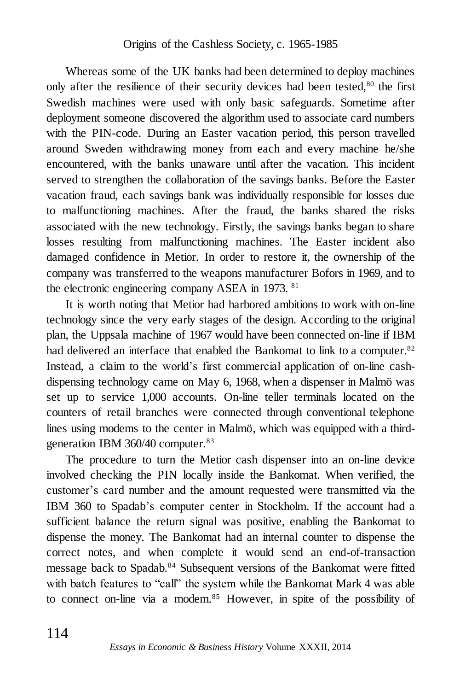Whereas some of the UK banks had been determined to deploy machines only after the resilience of their security devices had been tested, $80$  the first Swedish machines were used with only basic safeguards. Sometime after deployment someone discovered the algorithm used to associate card numbers with the PIN-code. During an Easter vacation period, this person travelled around Sweden withdrawing money from each and every machine he/she encountered, with the banks unaware until after the vacation. This incident served to strengthen the collaboration of the savings banks. Before the Easter vacation fraud, each savings bank was individually responsible for losses due to malfunctioning machines. After the fraud, the banks shared the risks associated with the new technology. Firstly, the savings banks began to share losses resulting from malfunctioning machines. The Easter incident also damaged confidence in Metior. In order to restore it, the ownership of the company was transferred to the weapons manufacturer Bofors in 1969, and to the electronic engineering company ASEA in 1973. <sup>81</sup>

It is worth noting that Metior had harbored ambitions to work with on-line technology since the very early stages of the design. According to the original plan, the Uppsala machine of 1967 would have been connected on-line if IBM had delivered an interface that enabled the Bankomat to link to a computer.<sup>82</sup> Instead, a claim to the world's first commercial application of on-line cashdispensing technology came on May 6, 1968, when a dispenser in Malmö was set up to service 1,000 accounts. On-line teller terminals located on the counters of retail branches were connected through conventional telephone lines using modems to the center in Malmö, which was equipped with a thirdgeneration IBM 360/40 computer.<sup>83</sup>

The procedure to turn the Metior cash dispenser into an on-line device involved checking the PIN locally inside the Bankomat. When verified, the customer's card number and the amount requested were transmitted via the IBM 360 to Spadab's computer center in Stockholm. If the account had a sufficient balance the return signal was positive, enabling the Bankomat to dispense the money. The Bankomat had an internal counter to dispense the correct notes, and when complete it would send an end-of-transaction message back to Spadab.<sup>84</sup> Subsequent versions of the Bankomat were fitted with batch features to "call" the system while the Bankomat Mark 4 was able to connect on-line via a modem.<sup>85</sup> However, in spite of the possibility of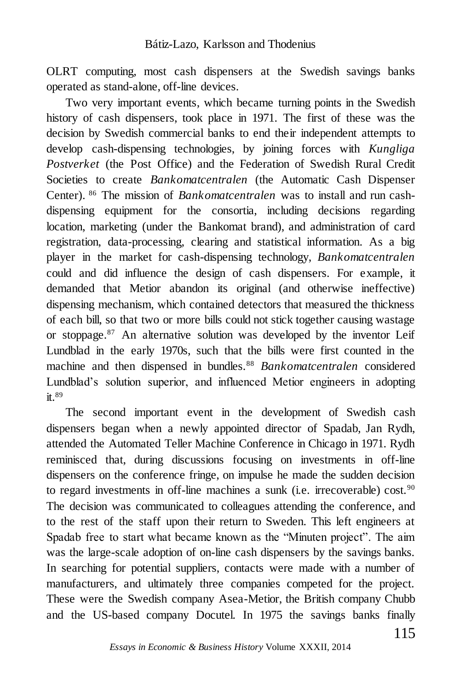OLRT computing, most cash dispensers at the Swedish savings banks operated as stand-alone, off-line devices.

Two very important events, which became turning points in the Swedish history of cash dispensers, took place in 1971. The first of these was the decision by Swedish commercial banks to end their independent attempts to develop cash-dispensing technologies, by joining forces with *Kungliga Postverket* (the Post Office) and the Federation of Swedish Rural Credit Societies to create *Bankomatcentralen* (the Automatic Cash Dispenser Center). <sup>86</sup> The mission of *Bankomatcentralen* was to install and run cashdispensing equipment for the consortia, including decisions regarding location, marketing (under the Bankomat brand), and administration of card registration, data-processing, clearing and statistical information. As a big player in the market for cash-dispensing technology, *Bankomatcentralen* could and did influence the design of cash dispensers. For example, it demanded that Metior abandon its original (and otherwise ineffective) dispensing mechanism, which contained detectors that measured the thickness of each bill, so that two or more bills could not stick together causing wastage or stoppage.<sup>87</sup> An alternative solution was developed by the inventor Leif Lundblad in the early 1970s, such that the bills were first counted in the machine and then dispensed in bundles.<sup>88</sup> *Bankomatcentralen* considered Lundblad's solution superior, and influenced Metior engineers in adopting it.<sup>89</sup>

The second important event in the development of Swedish cash dispensers began when a newly appointed director of Spadab, Jan Rydh, attended the Automated Teller Machine Conference in Chicago in 1971. Rydh reminisced that, during discussions focusing on investments in off-line dispensers on the conference fringe, on impulse he made the sudden decision to regard investments in off-line machines a sunk (i.e. irrecoverable) cost.<sup>90</sup> The decision was communicated to colleagues attending the conference, and to the rest of the staff upon their return to Sweden. This left engineers at Spadab free to start what became known as the "Minuten project". The aim was the large-scale adoption of on-line cash dispensers by the savings banks. In searching for potential suppliers, contacts were made with a number of manufacturers, and ultimately three companies competed for the project. These were the Swedish company Asea-Metior, the British company Chubb and the US-based company Docutel. In 1975 the savings banks finally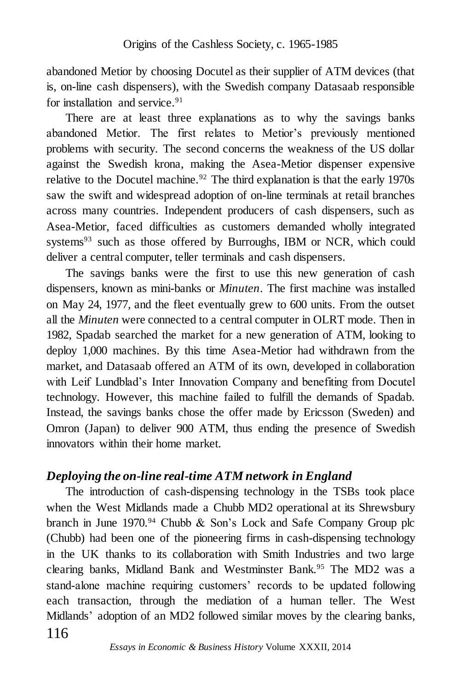abandoned Metior by choosing Docutel as their supplier of ATM devices (that is, on-line cash dispensers), with the Swedish company Datasaab responsible for installation and service.<sup>91</sup>

There are at least three explanations as to why the savings banks abandoned Metior. The first relates to Metior's previously mentioned problems with security. The second concerns the weakness of the US dollar against the Swedish krona, making the Asea-Metior dispenser expensive relative to the Docutel machine.<sup>92</sup> The third explanation is that the early 1970s saw the swift and widespread adoption of on-line terminals at retail branches across many countries. Independent producers of cash dispensers, such as Asea-Metior, faced difficulties as customers demanded wholly integrated systems<sup>93</sup> such as those offered by Burroughs, IBM or NCR, which could deliver a central computer, teller terminals and cash dispensers.

The savings banks were the first to use this new generation of cash dispensers, known as mini-banks or *Minuten*. The first machine was installed on May 24, 1977, and the fleet eventually grew to 600 units. From the outset all the *Minuten* were connected to a central computer in OLRT mode. Then in 1982, Spadab searched the market for a new generation of ATM, looking to deploy 1,000 machines. By this time Asea-Metior had withdrawn from the market, and Datasaab offered an ATM of its own, developed in collaboration with Leif Lundblad's Inter Innovation Company and benefiting from Docutel technology. However, this machine failed to fulfill the demands of Spadab. Instead, the savings banks chose the offer made by Ericsson (Sweden) and Omron (Japan) to deliver 900 ATM, thus ending the presence of Swedish innovators within their home market.

### *Deploying the on-line real-time ATM network in England*

The introduction of cash-dispensing technology in the TSBs took place when the West Midlands made a Chubb MD2 operational at its Shrewsbury branch in June  $1970.^{94}$  Chubb & Son's Lock and Safe Company Group plc (Chubb) had been one of the pioneering firms in cash-dispensing technology in the UK thanks to its collaboration with Smith Industries and two large clearing banks, Midland Bank and Westminster Bank.<sup>95</sup> The MD2 was a stand-alone machine requiring customers' records to be updated following each transaction, through the mediation of a human teller. The West Midlands' adoption of an MD2 followed similar moves by the clearing banks,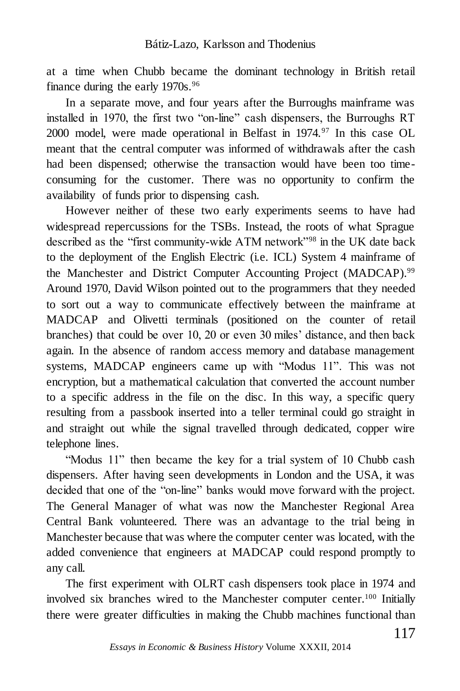at a time when Chubb became the dominant technology in British retail finance during the early 1970s.<sup>96</sup>

In a separate move, and four years after the Burroughs mainframe was installed in 1970, the first two "on-line" cash dispensers, the Burroughs RT 2000 model, were made operational in Belfast in 1974.<sup>97</sup> In this case OL meant that the central computer was informed of withdrawals after the cash had been dispensed; otherwise the transaction would have been too timeconsuming for the customer. There was no opportunity to confirm the availability of funds prior to dispensing cash.

However neither of these two early experiments seems to have had widespread repercussions for the TSBs. Instead, the roots of what Sprague described as the "first community-wide ATM network"<sup>98</sup> in the UK date back to the deployment of the English Electric (i.e. ICL) System 4 mainframe of the Manchester and District Computer Accounting Project (MADCAP). 99 Around 1970, David Wilson pointed out to the programmers that they needed to sort out a way to communicate effectively between the mainframe at MADCAP and Olivetti terminals (positioned on the counter of retail branches) that could be over 10, 20 or even 30 miles' distance, and then back again. In the absence of random access memory and database management systems, MADCAP engineers came up with "Modus 11". This was not encryption, but a mathematical calculation that converted the account number to a specific address in the file on the disc. In this way, a specific query resulting from a passbook inserted into a teller terminal could go straight in and straight out while the signal travelled through dedicated, copper wire telephone lines.

"Modus 11" then became the key for a trial system of 10 Chubb cash dispensers. After having seen developments in London and the USA, it was decided that one of the "on-line" banks would move forward with the project. The General Manager of what was now the Manchester Regional Area Central Bank volunteered. There was an advantage to the trial being in Manchester because that was where the computer center was located, with the added convenience that engineers at MADCAP could respond promptly to any call.

The first experiment with OLRT cash dispensers took place in 1974 and involved six branches wired to the Manchester computer center. <sup>100</sup> Initially there were greater difficulties in making the Chubb machines functional than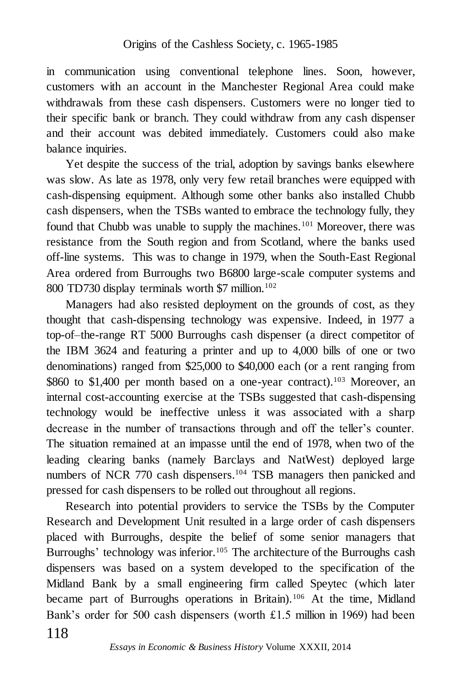in communication using conventional telephone lines. Soon, however, customers with an account in the Manchester Regional Area could make withdrawals from these cash dispensers. Customers were no longer tied to their specific bank or branch. They could withdraw from any cash dispenser and their account was debited immediately. Customers could also make balance inquiries.

Yet despite the success of the trial, adoption by savings banks elsewhere was slow. As late as 1978, only very few retail branches were equipped with cash-dispensing equipment. Although some other banks also installed Chubb cash dispensers, when the TSBs wanted to embrace the technology fully, they found that Chubb was unable to supply the machines.<sup>101</sup> Moreover, there was resistance from the South region and from Scotland, where the banks used off-line systems. This was to change in 1979, when the South-East Regional Area ordered from Burroughs two B6800 large-scale computer systems and 800 TD730 display terminals worth \$7 million.<sup>102</sup>

Managers had also resisted deployment on the grounds of cost, as they thought that cash-dispensing technology was expensive. Indeed, in 1977 a top-of–the-range RT 5000 Burroughs cash dispenser (a direct competitor of the IBM 3624 and featuring a printer and up to 4,000 bills of one or two denominations) ranged from \$25,000 to \$40,000 each (or a rent ranging from \$860 to \$1,400 per month based on a one-year contract).<sup>103</sup> Moreover, an internal cost-accounting exercise at the TSBs suggested that cash-dispensing technology would be ineffective unless it was associated with a sharp decrease in the number of transactions through and off the teller's counter. The situation remained at an impasse until the end of 1978, when two of the leading clearing banks (namely Barclays and NatWest) deployed large numbers of NCR 770 cash dispensers.<sup>104</sup> TSB managers then panicked and pressed for cash dispensers to be rolled out throughout all regions.

118 Research into potential providers to service the TSBs by the Computer Research and Development Unit resulted in a large order of cash dispensers placed with Burroughs, despite the belief of some senior managers that Burroughs' technology was inferior.<sup>105</sup> The architecture of the Burroughs cash dispensers was based on a system developed to the specification of the Midland Bank by a small engineering firm called Speytec (which later became part of Burroughs operations in Britain).<sup>106</sup> At the time, Midland Bank's order for 500 cash dispensers (worth £1.5 million in 1969) had been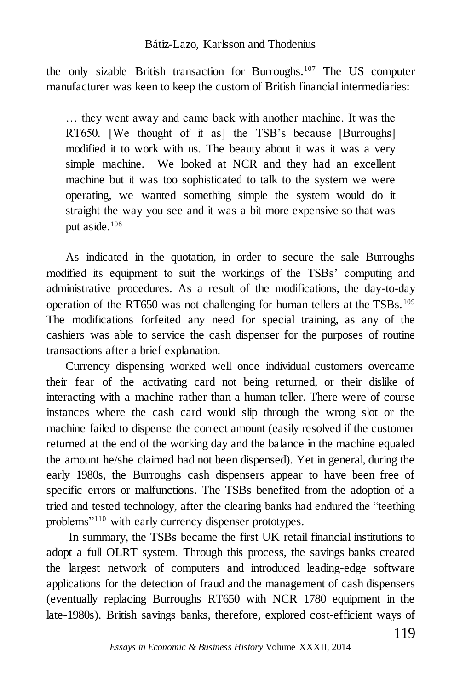#### Bátiz-Lazo, Karlsson and Thodenius

the only sizable British transaction for Burroughs.<sup>107</sup> The US computer manufacturer was keen to keep the custom of British financial intermediaries:

… they went away and came back with another machine. It was the RT650. [We thought of it as] the TSB's because [Burroughs] modified it to work with us. The beauty about it was it was a very simple machine. We looked at NCR and they had an excellent machine but it was too sophisticated to talk to the system we were operating, we wanted something simple the system would do it straight the way you see and it was a bit more expensive so that was put aside.<sup>108</sup>

As indicated in the quotation, in order to secure the sale Burroughs modified its equipment to suit the workings of the TSBs' computing and administrative procedures. As a result of the modifications, the day-to-day operation of the RT650 was not challenging for human tellers at the TSBs.<sup>109</sup> The modifications forfeited any need for special training, as any of the cashiers was able to service the cash dispenser for the purposes of routine transactions after a brief explanation.

Currency dispensing worked well once individual customers overcame their fear of the activating card not being returned, or their dislike of interacting with a machine rather than a human teller. There were of course instances where the cash card would slip through the wrong slot or the machine failed to dispense the correct amount (easily resolved if the customer returned at the end of the working day and the balance in the machine equaled the amount he/she claimed had not been dispensed). Yet in general, during the early 1980s, the Burroughs cash dispensers appear to have been free of specific errors or malfunctions. The TSBs benefited from the adoption of a tried and tested technology, after the clearing banks had endured the "teething problems"<sup>110</sup> with early currency dispenser prototypes.

In summary, the TSBs became the first UK retail financial institutions to adopt a full OLRT system. Through this process, the savings banks created the largest network of computers and introduced leading-edge software applications for the detection of fraud and the management of cash dispensers (eventually replacing Burroughs RT650 with NCR 1780 equipment in the late-1980s). British savings banks, therefore, explored cost-efficient ways of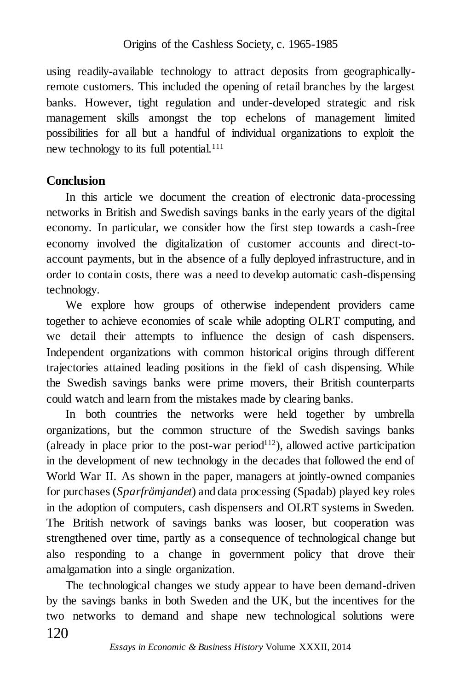using readily-available technology to attract deposits from geographicallyremote customers. This included the opening of retail branches by the largest banks. However, tight regulation and under-developed strategic and risk management skills amongst the top echelons of management limited possibilities for all but a handful of individual organizations to exploit the new technology to its full potential.<sup>111</sup>

## **Conclusion**

In this article we document the creation of electronic data-processing networks in British and Swedish savings banks in the early years of the digital economy. In particular, we consider how the first step towards a cash-free economy involved the digitalization of customer accounts and direct-toaccount payments, but in the absence of a fully deployed infrastructure, and in order to contain costs, there was a need to develop automatic cash-dispensing technology.

We explore how groups of otherwise independent providers came together to achieve economies of scale while adopting OLRT computing, and we detail their attempts to influence the design of cash dispensers. Independent organizations with common historical origins through different trajectories attained leading positions in the field of cash dispensing. While the Swedish savings banks were prime movers, their British counterparts could watch and learn from the mistakes made by clearing banks.

In both countries the networks were held together by umbrella organizations, but the common structure of the Swedish savings banks (already in place prior to the post-war period<sup>112</sup>), allowed active participation in the development of new technology in the decades that followed the end of World War II. As shown in the paper, managers at jointly-owned companies for purchases (*Sparfrämjandet*) and data processing (Spadab) played key roles in the adoption of computers, cash dispensers and OLRT systems in Sweden. The British network of savings banks was looser, but cooperation was strengthened over time, partly as a consequence of technological change but also responding to a change in government policy that drove their amalgamation into a single organization.

120 The technological changes we study appear to have been demand-driven by the savings banks in both Sweden and the UK, but the incentives for the two networks to demand and shape new technological solutions were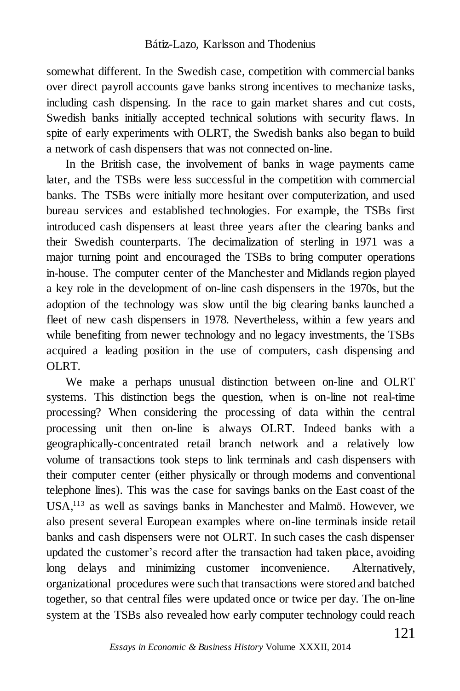somewhat different. In the Swedish case, competition with commercial banks over direct payroll accounts gave banks strong incentives to mechanize tasks, including cash dispensing. In the race to gain market shares and cut costs, Swedish banks initially accepted technical solutions with security flaws. In spite of early experiments with OLRT, the Swedish banks also began to build a network of cash dispensers that was not connected on-line.

In the British case, the involvement of banks in wage payments came later, and the TSBs were less successful in the competition with commercial banks. The TSBs were initially more hesitant over computerization, and used bureau services and established technologies. For example, the TSBs first introduced cash dispensers at least three years after the clearing banks and their Swedish counterparts. The decimalization of sterling in 1971 was a major turning point and encouraged the TSBs to bring computer operations in-house. The computer center of the Manchester and Midlands region played a key role in the development of on-line cash dispensers in the 1970s, but the adoption of the technology was slow until the big clearing banks launched a fleet of new cash dispensers in 1978. Nevertheless, within a few years and while benefiting from newer technology and no legacy investments, the TSBs acquired a leading position in the use of computers, cash dispensing and OLRT.

We make a perhaps unusual distinction between on-line and OLRT systems. This distinction begs the question, when is on-line not real-time processing? When considering the processing of data within the central processing unit then on-line is always OLRT. Indeed banks with a geographically-concentrated retail branch network and a relatively low volume of transactions took steps to link terminals and cash dispensers with their computer center (either physically or through modems and conventional telephone lines). This was the case for savings banks on the East coast of the USA,<sup>113</sup> as well as savings banks in Manchester and Malmö. However, we also present several European examples where on-line terminals inside retail banks and cash dispensers were not OLRT. In such cases the cash dispenser updated the customer's record after the transaction had taken place, avoiding long delays and minimizing customer inconvenience. Alternatively, organizational procedures were such that transactions were stored and batched together, so that central files were updated once or twice per day. The on-line system at the TSBs also revealed how early computer technology could reach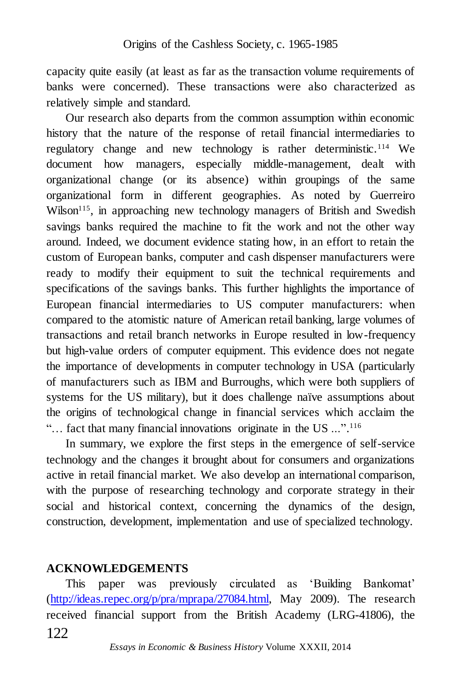capacity quite easily (at least as far as the transaction volume requirements of banks were concerned). These transactions were also characterized as relatively simple and standard.

Our research also departs from the common assumption within economic history that the nature of the response of retail financial intermediaries to regulatory change and new technology is rather deterministic.<sup>114</sup> We document how managers, especially middle-management, dealt with organizational change (or its absence) within groupings of the same organizational form in different geographies. As noted by Guerreiro  $Wilson<sup>115</sup>$ , in approaching new technology managers of British and Swedish savings banks required the machine to fit the work and not the other way around. Indeed, we document evidence stating how, in an effort to retain the custom of European banks, computer and cash dispenser manufacturers were ready to modify their equipment to suit the technical requirements and specifications of the savings banks. This further highlights the importance of European financial intermediaries to US computer manufacturers: when compared to the atomistic nature of American retail banking, large volumes of transactions and retail branch networks in Europe resulted in low-frequency but high-value orders of computer equipment. This evidence does not negate the importance of developments in computer technology in USA (particularly of manufacturers such as IBM and Burroughs, which were both suppliers of systems for the US military), but it does challenge naïve assumptions about the origins of technological change in financial services which acclaim the "... fact that many financial innovations originate in the US ...".<sup>116</sup>

In summary, we explore the first steps in the emergence of self-service technology and the changes it brought about for consumers and organizations active in retail financial market. We also develop an international comparison, with the purpose of researching technology and corporate strategy in their social and historical context, concerning the dynamics of the design, construction, development, implementation and use of specialized technology.

### **ACKNOWLEDGEMENTS**

122 This paper was previously circulated as 'Building Bankomat' [\(http://ideas.repec.org/p/pra/mprapa/27084.html,](http://ideas.repec.org/p/pra/mprapa/27084.html) May 2009). The research received financial support from the British Academy (LRG-41806), the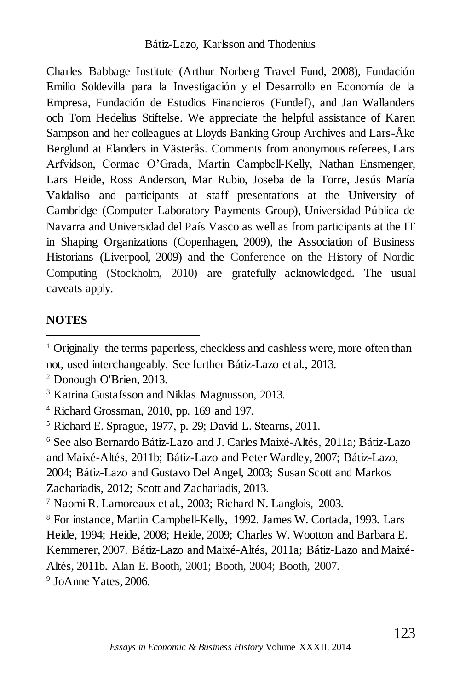Charles Babbage Institute (Arthur Norberg Travel Fund, 2008), Fundación Emilio Soldevilla para la Investigación y el Desarrollo en Economía de la Empresa, Fundación de Estudios Financieros (Fundef), and Jan Wallanders och Tom Hedelius Stiftelse. We appreciate the helpful assistance of Karen Sampson and her colleagues at Lloyds Banking Group Archives and Lars-Åke Berglund at Elanders in Västerås. Comments from anonymous referees, Lars Arfvidson, Cormac O'Grada, Martin Campbell-Kelly, Nathan Ensmenger, Lars Heide, Ross Anderson, Mar Rubio, Joseba de la Torre, Jesús María Valdaliso and participants at staff presentations at the University of Cambridge (Computer Laboratory Payments Group), Universidad Pública de Navarra and Universidad del País Vasco as well as from participants at the IT in Shaping Organizations (Copenhagen, 2009), the Association of Business Historians (Liverpool, 2009) and the Conference on the History of Nordic Computing (Stockholm, 2010) are gratefully acknowledged. The usual caveats apply.

### **NOTES**

l

9 JoAnne Yates, 2006.

<sup>&</sup>lt;sup>1</sup> Originally the terms paperless, checkless and cashless were, more often than not, used interchangeably. See further Bátiz-Lazo et al., 2013.

<sup>2</sup> Donough O'Brien, 2013.

<sup>3</sup> Katrina Gustafsson and Niklas Magnusson, 2013.

<sup>4</sup> Richard Grossman, 2010, pp. 169 and 197.

<sup>5</sup> Richard E. Sprague, 1977, p. 29; David L. Stearns, 2011.

<sup>6</sup> See also Bernardo Bátiz-Lazo and J. Carles Maixé-Altés, 2011a; Bátiz-Lazo and Maixé-Altés, 2011b; Bátiz-Lazo and Peter Wardley, 2007; Bátiz-Lazo, 2004; Bátiz-Lazo and Gustavo Del Angel, 2003; Susan Scott and Markos Zachariadis, 2012; Scott and Zachariadis, 2013.

<sup>7</sup> Naomi R. Lamoreaux et al., 2003; Richard N. Langlois, 2003.

<sup>8</sup> For instance, Martin Campbell-Kelly, 1992. James W. Cortada, 1993. Lars Heide, 1994; Heide, 2008; Heide, 2009; Charles W. Wootton and Barbara E. Kemmerer, 2007. Bátiz-Lazo and Maixé-Altés, 2011a; Bátiz-Lazo and Maixé-

Altés, 2011b. Alan E. Booth, 2001; Booth, 2004; Booth, 2007.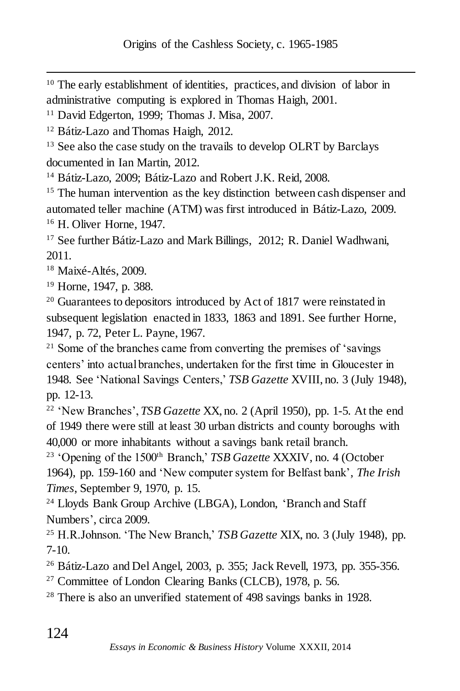<sup>10</sup> The early establishment of identities, practices, and division of labor in administrative computing is explored in Thomas Haigh, 2001.

<sup>11</sup> David Edgerton, 1999; Thomas J. Misa, 2007.

<sup>12</sup> Bátiz-Lazo and Thomas Haigh, 2012.

<sup>13</sup> See also the case study on the travails to develop OLRT by Barclays documented in Ian Martin, 2012.

<sup>14</sup> Bátiz-Lazo, 2009; Bátiz-Lazo and Robert J.K. Reid, 2008.

<sup>15</sup> The human intervention as the key distinction between cash dispenser and automated teller machine (ATM) was first introduced in Bátiz-Lazo, 2009. <sup>16</sup> H. Oliver Horne, 1947.

<sup>17</sup> See further Bátiz-Lazo and Mark Billings, 2012; R. Daniel Wadhwani, 2011.

<sup>18</sup> Maixé-Altés, 2009.

 $\overline{a}$ 

<sup>19</sup> Horne, 1947, p. 388.

<sup>20</sup> Guarantees to depositors introduced by Act of 1817 were reinstated in subsequent legislation enacted in 1833, 1863 and 1891. See further Horne, 1947, p. 72, Peter L. Payne, 1967.

<sup>21</sup> Some of the branches came from converting the premises of 'savings' centers' into actual branches, undertaken for the first time in Gloucester in 1948. See 'National Savings Centers,' *TSB Gazette* XVIII, no. 3 (July 1948), pp. 12-13.

<sup>22</sup> 'New Branches', *TSB Gazette* XX, no. 2 (April 1950), pp. 1-5. At the end of 1949 there were still at least 30 urban districts and county boroughs with 40,000 or more inhabitants without a savings bank retail branch.

<sup>23</sup> 'Opening of the 1500<sup>th</sup> Branch,' *TSB Gazette* XXXIV, no. 4 (October 1964), pp. 159-160 and 'New computer system for Belfast bank', *The Irish Times*, September 9, 1970, p. 15.

<sup>24</sup> Lloyds Bank Group Archive (LBGA), London, 'Branch and Staff Numbers', circa 2009.

<sup>25</sup> H.R.Johnson. 'The New Branch,' *TSB Gazette* XIX, no. 3 (July 1948), pp. 7-10.

<sup>26</sup> Bátiz-Lazo and Del Angel, 2003, p. 355; Jack Revell, 1973, pp. 355-356.

<sup>27</sup> Committee of London Clearing Banks (CLCB), 1978, p. 56.

<sup>28</sup> There is also an unverified statement of 498 savings banks in 1928.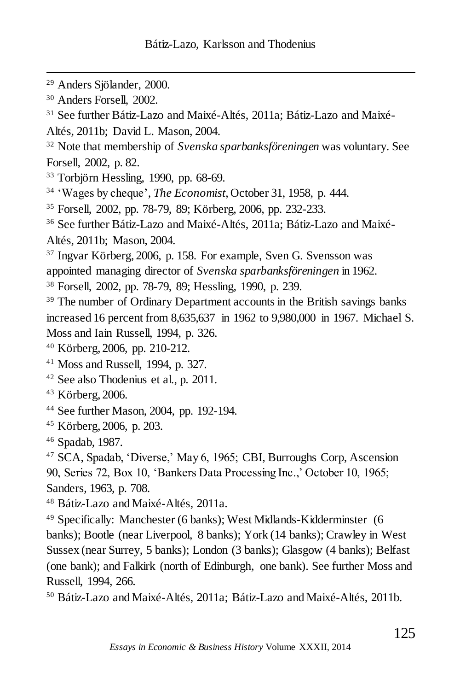- <sup>29</sup> Anders Sjölander, 2000.
- <sup>30</sup> Anders Forsell, 2002.

 $\overline{a}$ 

- <sup>31</sup> See further Bátiz-Lazo and Maixé-Altés, 2011a; Bátiz-Lazo and Maixé-
- Altés, 2011b; David L. Mason, 2004.
- <sup>32</sup> Note that membership of *Svenska sparbanksföreningen* was voluntary. See Forsell, 2002, p. 82.
- $33$  Torbjörn Hessling, 1990, pp. 68-69.
- <sup>34</sup> 'Wages by cheque', *The Economist*, October 31, 1958, p. 444.
- <sup>35</sup> Forsell, 2002, pp. 78-79, 89; Körberg, 2006, pp. 232-233.
- <sup>36</sup> See further Bátiz-Lazo and Maixé-Altés, 2011a; Bátiz-Lazo and Maixé-Altés, 2011b; Mason, 2004.
- <sup>37</sup> Ingvar Körberg, 2006, p. 158. For example, Sven G. Svensson was
- appointed managing director of *Svenska sparbanksföreningen* in 1962.
- <sup>38</sup> Forsell, 2002, pp. 78-79, 89; Hessling, 1990, p. 239.
- <sup>39</sup> The number of Ordinary Department accounts in the British savings banks increased 16 percent from 8,635,637 in 1962 to 9,980,000 in 1967. Michael S. Moss and Iain Russell, 1994, p. 326.
- <sup>40</sup> Körberg, 2006, pp. 210-212.
- <sup>41</sup> Moss and Russell, 1994, p. 327.
- <sup>42</sup> See also Thodenius et al., p. 2011.
- <sup>43</sup> Körberg, 2006.
- <sup>44</sup> See further Mason, 2004, pp. 192-194.
- <sup>45</sup> Körberg, 2006, p. 203.
- <sup>46</sup> Spadab, 1987.

<sup>47</sup> SCA, Spadab, 'Diverse,' May 6, 1965; CBI, Burroughs Corp, Ascension 90, Series 72, Box 10, 'Bankers Data Processing Inc.,' October 10, 1965; Sanders, 1963, p. 708.

- <sup>48</sup> Bátiz-Lazo and Maixé-Altés, 2011a.
- <sup>49</sup> Specifically: Manchester (6 banks); West Midlands-Kidderminster (6 banks); Bootle (near Liverpool, 8 banks); York (14 banks); Crawley in West Sussex (near Surrey, 5 banks); London (3 banks); Glasgow (4 banks); Belfast (one bank); and Falkirk (north of Edinburgh, one bank). See further Moss and Russell, 1994, 266.
- <sup>50</sup> Bátiz-Lazo and Maixé-Altés, 2011a; Bátiz-Lazo and Maixé-Altés, 2011b.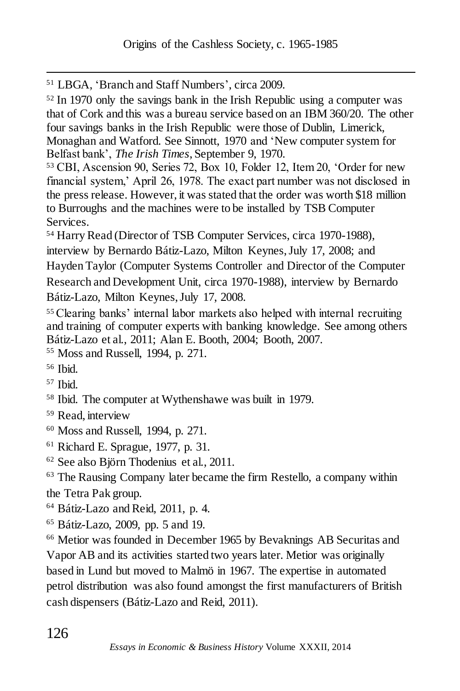<sup>51</sup> LBGA, 'Branch and Staff Numbers', circa 2009.

<sup>52</sup> In 1970 only the savings bank in the Irish Republic using a computer was that of Cork and this was a bureau service based on an IBM 360/20. The other four savings banks in the Irish Republic were those of Dublin, Limerick, Monaghan and Watford. See Sinnott, 1970 and 'New computer system for Belfast bank', *The Irish Times*, September 9, 1970.

<sup>53</sup> CBI, Ascension 90, Series 72, Box 10, Folder 12, Item 20, 'Order for new financial system,' April 26, 1978. The exact part number was not disclosed in the press release. However, it was stated that the order was worth \$18 million to Burroughs and the machines were to be installed by TSB Computer Services.

<sup>54</sup> Harry Read (Director of TSB Computer Services, circa 1970-1988), interview by Bernardo Bátiz-Lazo, Milton Keynes, July 17, 2008; and Hayden Taylor (Computer Systems Controller and Director of the Computer Research and Development Unit, circa 1970-1988), interview by Bernardo Bátiz-Lazo, Milton Keynes, July 17, 2008.

<sup>55</sup> Clearing banks' internal labor markets also helped with internal recruiting and training of computer experts with banking knowledge. See among others Bátiz-Lazo et al., 2011; Alan E. Booth, 2004; Booth, 2007.

<sup>55</sup> Moss and Russell, 1994, p. 271.

 $\overline{a}$ 

- <sup>57</sup> Ibid.
- <sup>58</sup> Ibid. The computer at Wythenshawe was built in 1979.
- <sup>59</sup> Read, interview
- <sup>60</sup> Moss and Russell, 1994, p. 271.
- <sup>61</sup> Richard E. Sprague, 1977, p. 31.
- <sup>62</sup> See also Björn Thodenius et al., 2011.

<sup>63</sup> The Rausing Company later became the firm Restello, a company within the Tetra Pak group.

<sup>64</sup> Bátiz-Lazo and Reid, 2011, p. 4.

<sup>65</sup> Bátiz-Lazo, 2009, pp. 5 and 19.

<sup>66</sup> Metior was founded in December 1965 by Bevaknings AB Securitas and Vapor AB and its activities started two years later. Metior was originally based in Lund but moved to Malmö in 1967. The expertise in automated petrol distribution was also found amongst the first manufacturers of British cash dispensers (Bátiz-Lazo and Reid, 2011).

<sup>56</sup> Ibid.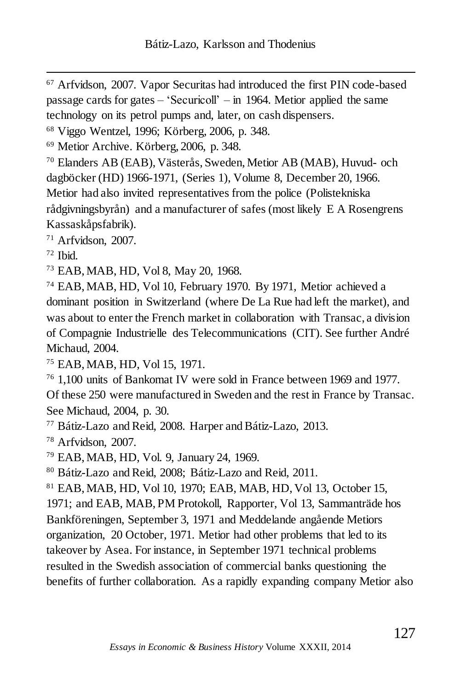<sup>67</sup> Arfvidson, 2007. Vapor Securitas had introduced the first PIN code-based passage cards for gates – 'Securicoll' – in 1964. Metior applied the same technology on its petrol pumps and, later, on cash dispensers.

<sup>68</sup> Viggo Wentzel, 1996; Körberg, 2006, p. 348.

<sup>69</sup> Metior Archive. Körberg, 2006, p. 348.

<sup>70</sup> Elanders AB (EAB), Västerås, Sweden, Metior AB (MAB), Huvud- och dagböcker (HD) 1966-1971, (Series 1), Volume 8, December 20, 1966. Metior had also invited representatives from the police (Polistekniska rådgivningsbyrån) and a manufacturer of safes (most likely E A Rosengrens Kassaskåpsfabrik).

<sup>71</sup> Arfvidson, 2007.

 $72$  Ibid.

 $\overline{a}$ 

<sup>73</sup> EAB, MAB, HD, Vol 8, May 20, 1968.

<sup>74</sup> EAB, MAB, HD, Vol 10, February 1970. By 1971, Metior achieved a dominant position in Switzerland (where De La Rue had left the market), and was about to enter the French market in collaboration with Transac, a division of Compagnie Industrielle des Telecommunications (CIT). See further André Michaud, 2004.

<sup>75</sup> EAB, MAB, HD, Vol 15, 1971.

<sup>76</sup> 1,100 units of Bankomat IV were sold in France between 1969 and 1977. Of these 250 were manufactured in Sweden and the rest in France by Transac. See Michaud, 2004, p. 30.

<sup>77</sup> Bátiz-Lazo and Reid, 2008. Harper and Bátiz-Lazo, 2013.

<sup>78</sup> Arfvidson, 2007.

<sup>79</sup> EAB, MAB, HD, Vol. 9, January 24, 1969.

<sup>80</sup> Bátiz-Lazo and Reid, 2008; Bátiz-Lazo and Reid, 2011.

<sup>81</sup> EAB, MAB, HD, Vol 10, 1970; EAB, MAB, HD, Vol 13, October 15, 1971; and EAB, MAB, PM Protokoll, Rapporter, Vol 13, Sammanträde hos Bankföreningen, September 3, 1971 and Meddelande angående Metiors organization, 20 October, 1971. Metior had other problems that led to its takeover by Asea. For instance, in September 1971 technical problems resulted in the Swedish association of commercial banks questioning the benefits of further collaboration. As a rapidly expanding company Metior also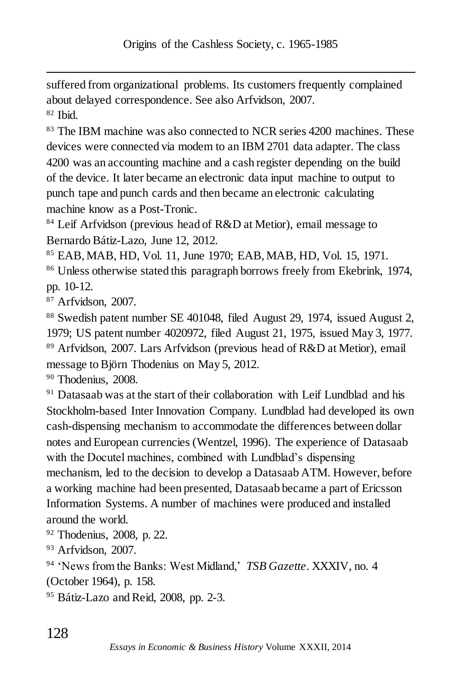suffered from organizational problems. Its customers frequently complained about delayed correspondence. See also Arfvidson, 2007.  $82$  Ibid.

<sup>83</sup> The IBM machine was also connected to NCR series 4200 machines. These devices were connected via modem to an IBM 2701 data adapter. The class 4200 was an accounting machine and a cash register depending on the build of the device. It later became an electronic data input machine to output to punch tape and punch cards and then became an electronic calculating machine know as a Post-Tronic.

84 Leif Arfvidson (previous head of R&D at Metior), email message to Bernardo Bátiz-Lazo, June 12, 2012.

<sup>85</sup> EAB, MAB, HD, Vol. 11, June 1970; EAB, MAB, HD, Vol. 15, 1971.

<sup>86</sup> Unless otherwise stated this paragraph borrows freely from Ekebrink, 1974, pp. 10-12.

<sup>87</sup> Arfvidson, 2007.

 $\overline{a}$ 

<sup>88</sup> Swedish patent number SE 401048, filed August 29, 1974, issued August 2, 1979; US patent number 4020972, filed August 21, 1975, issued May 3, 1977. <sup>89</sup> Arfvidson, 2007. Lars Arfvidson (previous head of R&D at Metior), email message to Björn Thodenius on May 5, 2012.

<sup>90</sup> Thodenius, 2008.

 $91$  Datasaab was at the start of their collaboration with Leif Lundblad and his Stockholm-based Inter Innovation Company. Lundblad had developed its own cash-dispensing mechanism to accommodate the differences between dollar notes and European currencies (Wentzel, 1996). The experience of Datasaab with the Docutel machines, combined with Lundblad's dispensing mechanism, led to the decision to develop a Datasaab ATM. However, before a working machine had been presented, Datasaab became a part of Ericsson Information Systems. A number of machines were produced and installed around the world.

<sup>92</sup> Thodenius, 2008, p. 22.

<sup>93</sup> Arfvidson, 2007.

<sup>94</sup> 'News from the Banks: West Midland,' *TSB Gazette*. XXXIV, no. 4

(October 1964), p. 158.

<sup>95</sup> Bátiz-Lazo and Reid, 2008, pp. 2-3.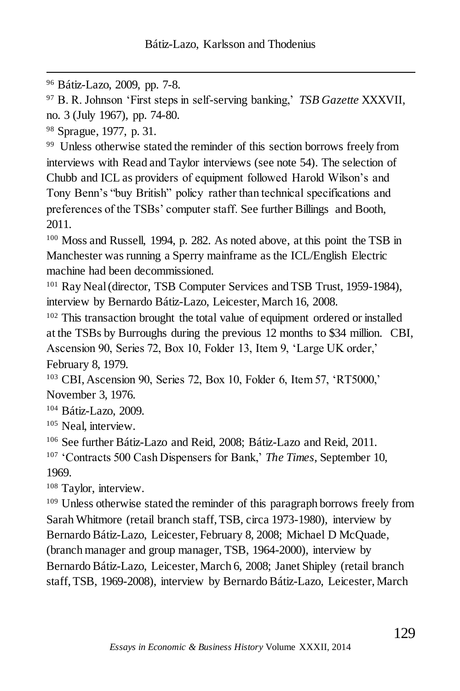<sup>96</sup> Bátiz-Lazo, 2009, pp. 7-8.

<sup>97</sup> B. R. Johnson 'First steps in self-serving banking,' *TSB Gazette* XXXVII, no. 3 (July 1967), pp. 74-80.

<sup>98</sup> Sprague, 1977, p. 31.

 $\overline{a}$ 

<sup>99</sup> Unless otherwise stated the reminder of this section borrows freely from interviews with Read and Taylor interviews (see note 54). The selection of Chubb and ICL as providers of equipment followed Harold Wilson's and Tony Benn's "buy British" policy rather than technical specifications and preferences of the TSBs' computer staff. See further Billings and Booth, 2011.

<sup>100</sup> Moss and Russell, 1994, p. 282. As noted above, at this point the TSB in Manchester was running a Sperry mainframe as the ICL/English Electric machine had been decommissioned.

<sup>101</sup> Ray Neal (director, TSB Computer Services and TSB Trust, 1959-1984), interview by Bernardo Bátiz-Lazo, Leicester, March 16, 2008.

<sup>102</sup> This transaction brought the total value of equipment ordered or installed at the TSBs by Burroughs during the previous 12 months to \$34 million. CBI, Ascension 90, Series 72, Box 10, Folder 13, Item 9, 'Large UK order,' February 8, 1979.

<sup>103</sup> CBI, Ascension 90, Series 72, Box 10, Folder 6, Item 57, 'RT5000,' November 3, 1976.

<sup>104</sup> Bátiz-Lazo, 2009.

<sup>105</sup> Neal, interview.

<sup>106</sup> See further Bátiz-Lazo and Reid, 2008; Bátiz-Lazo and Reid, 2011.

<sup>107</sup> 'Contracts 500 Cash Dispensers for Bank,' *The Times*, September 10, 1969.

<sup>108</sup> Taylor, interview.

<sup>109</sup> Unless otherwise stated the reminder of this paragraph borrows freely from Sarah Whitmore (retail branch staff, TSB, circa 1973-1980), interview by Bernardo Bátiz-Lazo, Leicester, February 8, 2008; Michael D McQuade, (branch manager and group manager, TSB, 1964-2000), interview by Bernardo Bátiz-Lazo, Leicester, March 6, 2008; Janet Shipley (retail branch staff, TSB, 1969-2008), interview by Bernardo Bátiz-Lazo, Leicester, March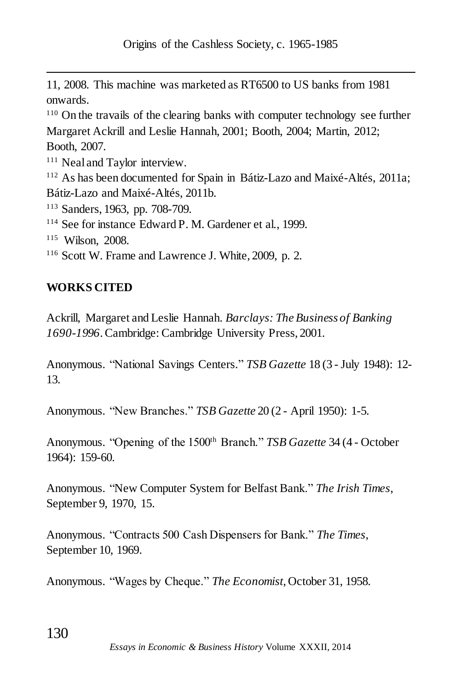11, 2008. This machine was marketed as RT6500 to US banks from 1981 onwards.

<sup>110</sup> On the travails of the clearing banks with computer technology see further Margaret Ackrill and Leslie Hannah, 2001; Booth, 2004; Martin, 2012; Booth, 2007.

<sup>111</sup> Neal and Taylor interview.

<sup>112</sup> As has been documented for Spain in Bátiz-Lazo and Maixé-Altés, 2011a; Bátiz-Lazo and Maixé-Altés, 2011b.

<sup>113</sup> Sanders, 1963, pp. 708-709.

<sup>114</sup> See for instance Edward P. M. Gardener et al., 1999.

<sup>115</sup> Wilson, 2008.

 $\overline{a}$ 

<sup>116</sup> Scott W. Frame and Lawrence J. White, 2009, p. 2.

# **WORKS CITED**

Ackrill, Margaret and Leslie Hannah. *Barclays: The Business of Banking 1690-1996*. Cambridge: Cambridge University Press, 2001.

Anonymous. "National Savings Centers." *TSB Gazette* 18 (3 - July 1948): 12- 13.

Anonymous. "New Branches." *TSB Gazette* 20 (2 - April 1950): 1-5.

Anonymous. "Opening of the 1500<sup>th</sup> Branch." *TSB Gazette* 34 (4 - October 1964): 159-60.

Anonymous. "New Computer System for Belfast Bank." *The Irish Times*, September 9, 1970, 15.

Anonymous. "Contracts 500 Cash Dispensers for Bank." *The Times*, September 10, 1969.

Anonymous. "Wages by Cheque." *The Economist*, October 31, 1958.

130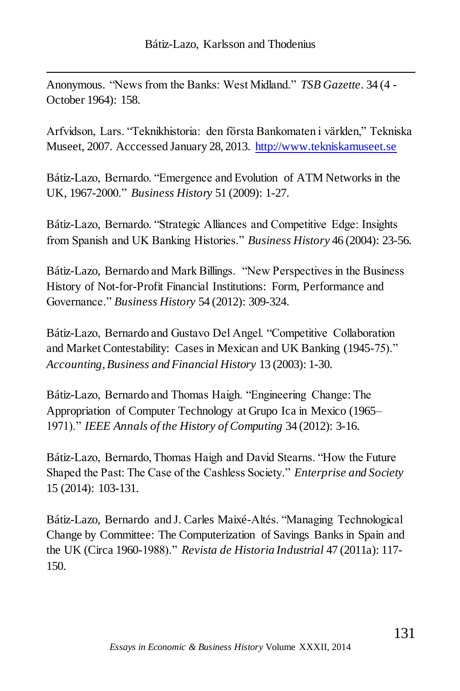Anonymous. "News from the Banks: West Midland." *TSB Gazette*. 34 (4 - October 1964): 158.

 $\overline{a}$ 

Arfvidson, Lars. "Teknikhistoria: den första Bankomaten i världen," Tekniska Museet, 2007. Acccessed January 28, 2013. [http://www.tekniskamuseet.se](http://www.tekniskamuseet.se/)

Bátiz-Lazo, Bernardo. "Emergence and Evolution of ATM Networks in the UK, 1967-2000." *Business History* 51 (2009): 1-27.

Bátiz-Lazo, Bernardo. "Strategic Alliances and Competitive Edge: Insights from Spanish and UK Banking Histories." *Business History* 46 (2004): 23-56.

Bátiz-Lazo, Bernardo and Mark Billings. "New Perspectives in the Business History of Not-for-Profit Financial Institutions: Form, Performance and Governance." *Business History* 54 (2012): 309-324.

Bátiz-Lazo, Bernardo and Gustavo Del Angel. "Competitive Collaboration and Market Contestability: Cases in Mexican and UK Banking (1945-75)." *Accounting, Business and Financial History* 13 (2003): 1-30.

Bátiz-Lazo, Bernardo and Thomas Haigh. "Engineering Change: The Appropriation of Computer Technology at Grupo Ica in Mexico (1965– 1971)." *IEEE Annals of the History of Computing* 34 (2012): 3-16.

Bátiz-Lazo, Bernardo, Thomas Haigh and David Stearns. "How the Future Shaped the Past: The Case of the Cashless Society." *Enterprise and Society* 15 (2014): 103-131.

Bátiz-Lazo, Bernardo and J. Carles Maixé-Altés. "Managing Technological Change by Committee: The Computerization of Savings Banks in Spain and the UK (Circa 1960-1988)." *Revista de Historia Industrial* 47 (2011a): 117- 150.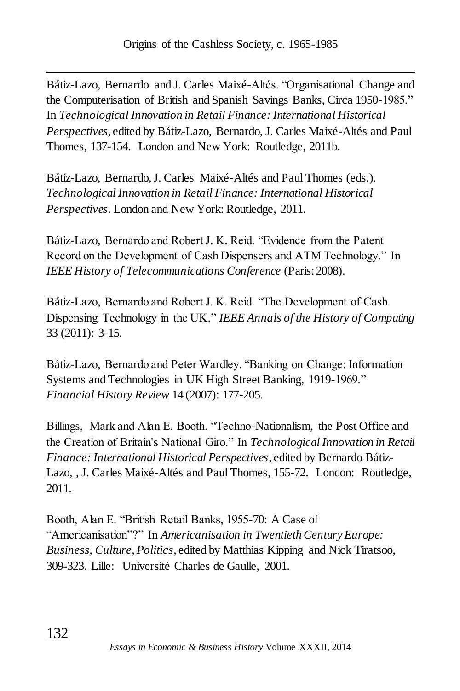Bátiz-Lazo, Bernardo and J. Carles Maixé-Altés. "Organisational Change and the Computerisation of British and Spanish Savings Banks, Circa 1950-1985." In *Technological Innovation in Retail Finance: International Historical Perspectives*, edited by Bátiz-Lazo, Bernardo, J. Carles Maixé-Altés and Paul Thomes, 137-154. London and New York: Routledge, 2011b.

Bátiz-Lazo, Bernardo, J. Carles Maixé-Altés and Paul Thomes (eds.). *Technological Innovation in Retail Finance: International Historical Perspectives*. London and New York: Routledge, 2011.

Bátiz-Lazo, Bernardo and Robert J. K. Reid. "Evidence from the Patent Record on the Development of Cash Dispensers and ATM Technology." In *IEEE History of Telecommunications Conference* (Paris: 2008).

Bátiz-Lazo, Bernardo and Robert J. K. Reid. "The Development of Cash Dispensing Technology in the UK." *IEEE Annals of the History of Computing* 33 (2011): 3-15.

Bátiz-Lazo, Bernardo and Peter Wardley. "Banking on Change: Information Systems and Technologies in UK High Street Banking, 1919-1969." *Financial History Review* 14 (2007): 177-205.

Billings, Mark and Alan E. Booth. "Techno-Nationalism, the Post Office and the Creation of Britain's National Giro." In *Technological Innovation in Retail Finance: International Historical Perspectives*, edited by Bernardo Bátiz-Lazo, , J. Carles Maixé-Altés and Paul Thomes, 155-72. London: Routledge, 2011.

Booth, Alan E. "British Retail Banks, 1955-70: A Case of "Americanisation"?" In *Americanisation in Twentieth Century Europe: Business, Culture, Politics*, edited by Matthias Kipping and Nick Tiratsoo, 309-323. Lille: Université Charles de Gaulle, 2001.

 $\overline{a}$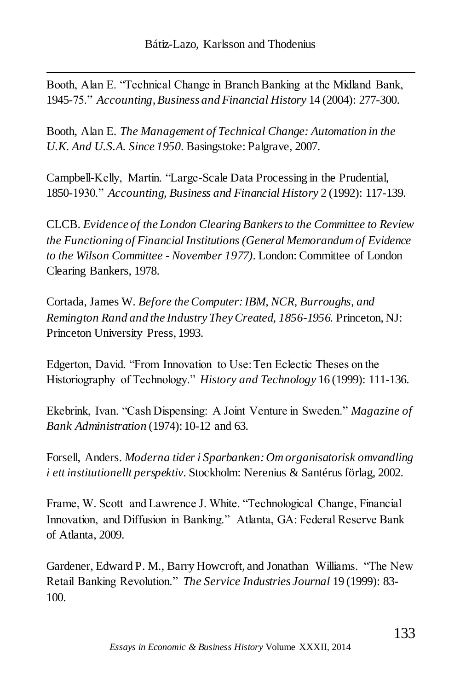Booth, Alan E. "Technical Change in Branch Banking at the Midland Bank, 1945-75." *Accounting, Business and Financial History* 14 (2004): 277-300.

 $\overline{a}$ 

Booth, Alan E. *The Management of Technical Change: Automation in the U.K. And U.S.A. Since 1950*. Basingstoke: Palgrave, 2007.

Campbell-Kelly, Martin. "Large-Scale Data Processing in the Prudential, 1850-1930." *Accounting, Business and Financial History* 2 (1992): 117-139.

CLCB. *Evidence of the London Clearing Bankers to the Committee to Review the Functioning of Financial Institutions (General Memorandum of Evidence to the Wilson Committee - November 1977)*. London: Committee of London Clearing Bankers, 1978.

Cortada, James W. *Before the Computer:IBM, NCR, Burroughs, and Remington Rand and the Industry They Created, 1856-1956.* Princeton, NJ: Princeton University Press, 1993.

Edgerton, David. "From Innovation to Use: Ten Eclectic Theses on the Historiography of Technology." *History and Technology* 16 (1999): 111-136.

Ekebrink, Ivan. "Cash Dispensing: A Joint Venture in Sweden." *Magazine of Bank Administration* (1974): 10-12 and 63.

Forsell, Anders. *Moderna tider i Sparbanken: Om organisatorisk omvandling i ett institutionellt perspektiv*. Stockholm: Nerenius & Santérus förlag, 2002.

Frame, W. Scott and Lawrence J. White. "Technological Change, Financial Innovation, and Diffusion in Banking." Atlanta, GA: Federal Reserve Bank of Atlanta, 2009.

Gardener, Edward P. M., Barry Howcroft, and Jonathan Williams. "The New Retail Banking Revolution." *The Service Industries Journal* 19 (1999): 83- 100.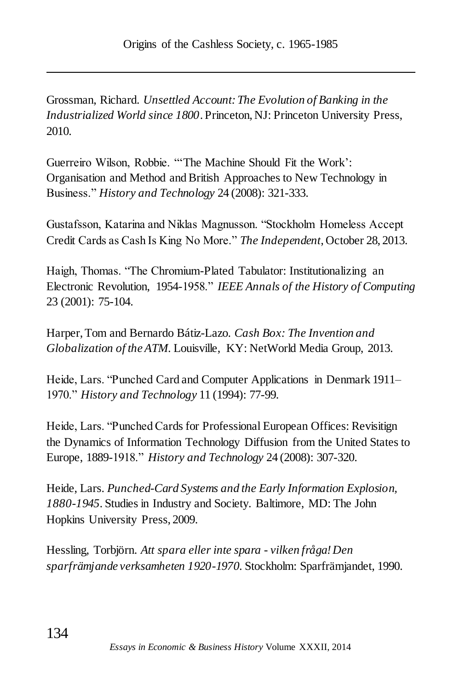Grossman, Richard. *Unsettled Account: The Evolution of Banking in the Industrialized World since 1800*. Princeton, NJ: Princeton University Press, 2010.

Guerreiro Wilson, Robbie. "'The Machine Should Fit the Work': Organisation and Method and British Approaches to New Technology in Business." *History and Technology* 24 (2008): 321-333.

Gustafsson, Katarina and Niklas Magnusson. "Stockholm Homeless Accept Credit Cards as Cash Is King No More." *The Independent*, October 28, 2013.

Haigh, Thomas. "The Chromium-Plated Tabulator: Institutionalizing an Electronic Revolution, 1954-1958." *IEEE Annals of the History of Computing* 23 (2001): 75-104.

Harper, Tom and Bernardo Bátiz-Lazo. *Cash Box: The Invention and Globalization of the ATM*. Louisville, KY: NetWorld Media Group, 2013.

Heide, Lars. "Punched Card and Computer Applications in Denmark 1911– 1970." *History and Technology* 11 (1994): 77-99.

Heide, Lars. "Punched Cards for Professional European Offices: Revisitign the Dynamics of Information Technology Diffusion from the United States to Europe, 1889-1918." *History and Technology* 24 (2008): 307-320.

Heide, Lars. *Punched-Card Systems and the Early Information Explosion, 1880-1945.* Studies in Industry and Society. Baltimore, MD: The John Hopkins University Press, 2009.

Hessling, Torbjörn. *Att spara eller inte spara - vilken fråga! Den sparfrämjande verksamheten 1920-1970*. Stockholm: Sparfrämjandet, 1990.

 $\overline{a}$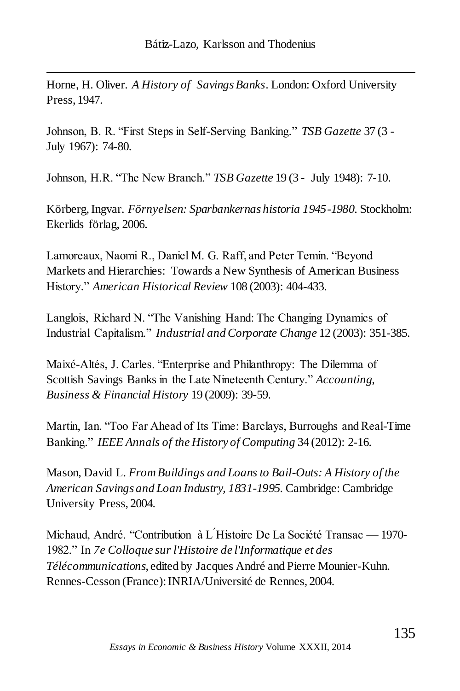Horne, H. Oliver. *A History of Savings Banks*. London: Oxford University Press, 1947.

 $\overline{a}$ 

Johnson, B. R. "First Steps in Self-Serving Banking." *TSB Gazette* 37 (3 - July 1967): 74-80.

Johnson, H.R. "The New Branch." *TSB Gazette* 19 (3 - July 1948): 7-10.

Körberg, Ingvar. *Förnyelsen: Sparbankernas historia 1945-1980*. Stockholm: Ekerlids förlag, 2006.

Lamoreaux, Naomi R., Daniel M. G. Raff, and Peter Temin. "Beyond Markets and Hierarchies: Towards a New Synthesis of American Business History." *American Historical Review* 108 (2003): 404-433.

Langlois, Richard N. "The Vanishing Hand: The Changing Dynamics of Industrial Capitalism." *Industrial and Corporate Change* 12 (2003): 351-385.

Maixé-Altés, J. Carles. "Enterprise and Philanthropy: The Dilemma of Scottish Savings Banks in the Late Nineteenth Century." *Accounting, Business & Financial History* 19 (2009): 39-59.

Martin, Ian. "Too Far Ahead of Its Time: Barclays, Burroughs and Real-Time Banking." *IEEE Annals of the History of Computing* 34 (2012): 2-16.

Mason, David L. *From Buildings and Loans to Bail-Outs: A History of the American Savings and Loan Industry, 1831-1995*. Cambridge: Cambridge University Press, 2004.

Michaud, André. "Contribution à L ́Histoire De La Société Transac — 1970- 1982." In *7e Colloque sur l'Histoire de l'Informatique et des Télécommunications*, edited by Jacques André and Pierre Mounier-Kuhn. Rennes-Cesson (France): INRIA/Université de Rennes, 2004.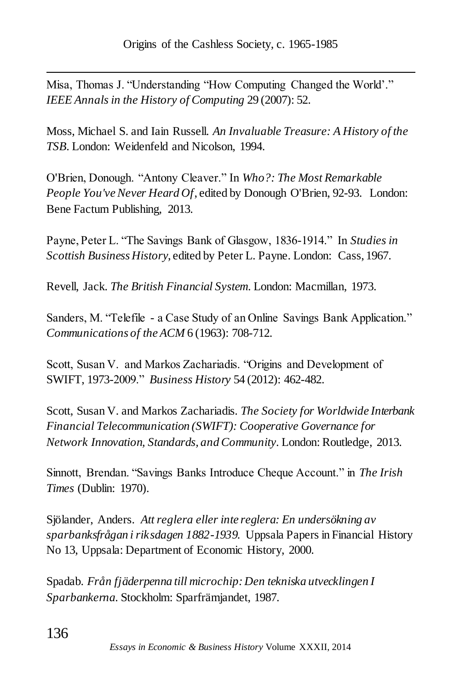$\overline{a}$ Misa, Thomas J. "Understanding "How Computing Changed the World'." *IEEE Annals in the History of Computing* 29 (2007): 52.

Moss, Michael S. and Iain Russell. *An Invaluable Treasure: A History of the TSB*. London: Weidenfeld and Nicolson, 1994.

O'Brien, Donough. "Antony Cleaver." In *Who?: The Most Remarkable People You've Never Heard Of*, edited by Donough O'Brien, 92-93. London: Bene Factum Publishing, 2013.

Payne, Peter L. "The Savings Bank of Glasgow, 1836-1914." In *Studies in Scottish Business History*, edited by Peter L. Payne. London: Cass, 1967.

Revell, Jack. *The British Financial System*. London: Macmillan, 1973.

Sanders, M. "Telefile - a Case Study of an Online Savings Bank Application." *Communications of the ACM* 6 (1963): 708-712.

Scott, Susan V. and Markos Zachariadis. "Origins and Development of SWIFT, 1973-2009." *Business History* 54 (2012): 462-482.

Scott, Susan V. and Markos Zachariadis. *The Society for Worldwide Interbank Financial Telecommunication (SWIFT): Cooperative Governance for Network Innovation, Standards, and Community*. London: Routledge, 2013.

Sinnott, Brendan. "Savings Banks Introduce Cheque Account." in *The Irish Times* (Dublin: 1970).

Sjölander, Anders. *Att reglera eller inte reglera: En undersökning av sparbanksfrågan i riksdagen 1882-1939.* Uppsala Papers in Financial History No 13, Uppsala: Department of Economic History, 2000.

Spadab. *Från fjäderpenna till microchip: Den tekniska utvecklingen I Sparbankerna*. Stockholm: Sparfrämjandet, 1987.